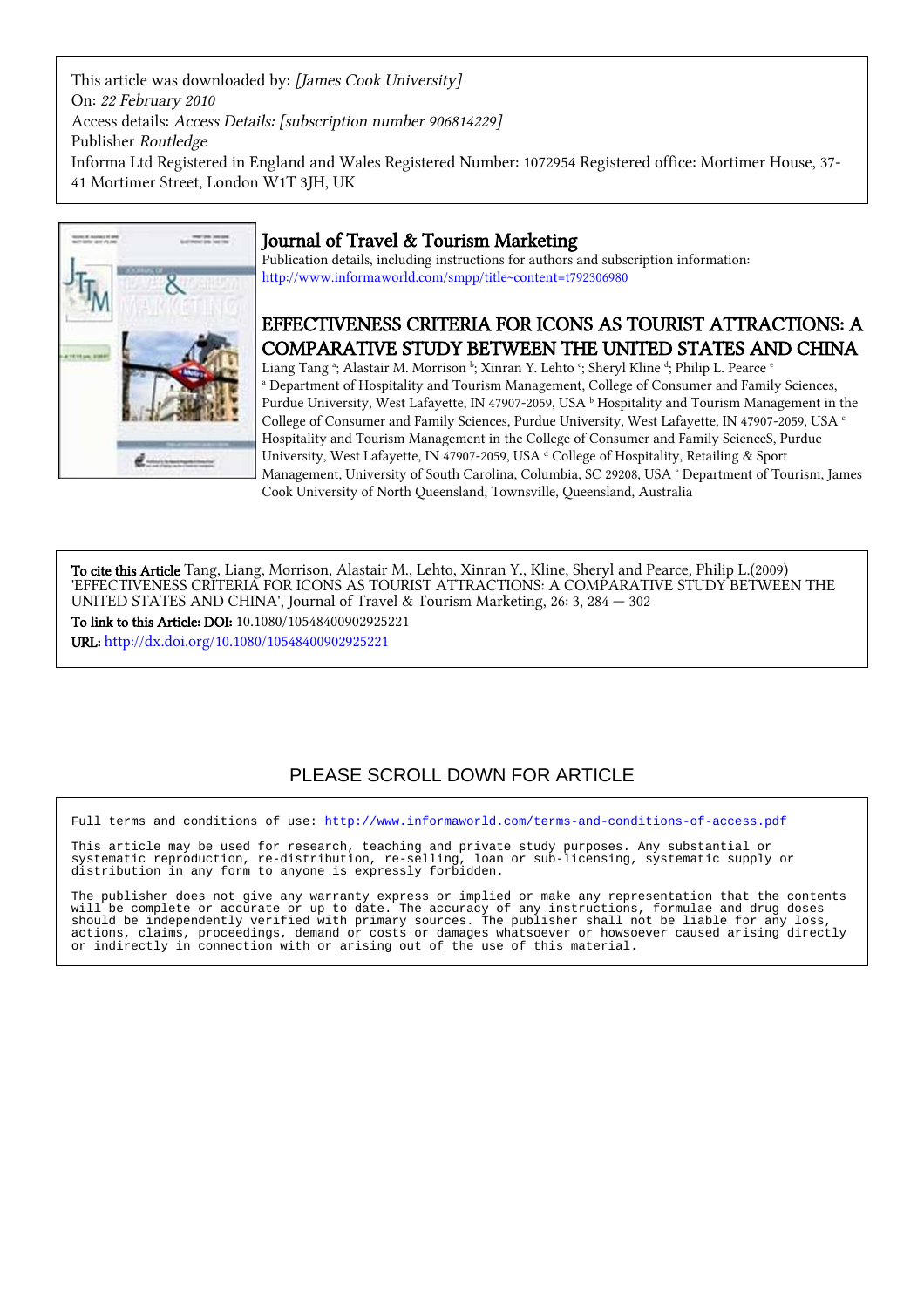This article was downloaded by: [James Cook University] On: 22 February 2010 Access details: Access Details: [subscription number 906814229] Publisher Routledge Informa Ltd Registered in England and Wales Registered Number: 1072954 Registered office: Mortimer House, 37- 41 Mortimer Street, London W1T 3JH, UK



## Journal of Travel & Tourism Marketing

Publication details, including instructions for authors and subscription information: <http://www.informaworld.com/smpp/title~content=t792306980>

## EFFECTIVENESS CRITERIA FOR ICONS AS TOURIST ATTRACTIONS: A COMPARATIVE STUDY BETWEEN THE UNITED STATES AND CHINA

Liang Tang ª; Alastair M. Morrison ʰ; Xinran Y. Lehto ʿ; Sheryl Kline <sup>d</sup>; Philip L. Pearce ' a Department of Hospitality and Tourism Management, College of Consumer and Family Sciences, Purdue University, West Lafayette, IN 47907-2059, USA  $^{\rm b}$  Hospitality and Tourism Management in the College of Consumer and Family Sciences, Purdue University, West Lafayette, IN 47907-2059, USA c Hospitality and Tourism Management in the College of Consumer and Family ScienceS, Purdue University, West Lafayette, IN 47907-2059, USA <sup>d</sup> College of Hospitality, Retailing & Sport Management, University of South Carolina, Columbia, SC 29208, USA <sup>e</sup> Department of Tourism, James Cook University of North Queensland, Townsville, Queensland, Australia

To cite this Article Tang, Liang, Morrison, Alastair M., Lehto, Xinran Y., Kline, Sheryl and Pearce, Philip L.(2009) 'EFFECTIVENESS CRITERIA FOR ICONS AS TOURIST ATTRACTIONS: A COMPARATIVE STUDY BETWEEN THE UNITED STATES AND CHINA', Journal of Travel & Tourism Marketing, 26: 3, 284 — 302

To link to this Article: DOI: 10.1080/10548400902925221 URL: <http://dx.doi.org/10.1080/10548400902925221>

# PLEASE SCROLL DOWN FOR ARTICLE

Full terms and conditions of use:<http://www.informaworld.com/terms-and-conditions-of-access.pdf>

This article may be used for research, teaching and private study purposes. Any substantial or systematic reproduction, re-distribution, re-selling, loan or sub-licensing, systematic supply or distribution in any form to anyone is expressly forbidden.

The publisher does not give any warranty express or implied or make any representation that the contents will be complete or accurate or up to date. The accuracy of any instructions, formulae and drug doses should be independently verified with primary sources. The publisher shall not be liable for any loss, actions, claims, proceedings, demand or costs or damages whatsoever or howsoever caused arising directly or indirectly in connection with or arising out of the use of this material.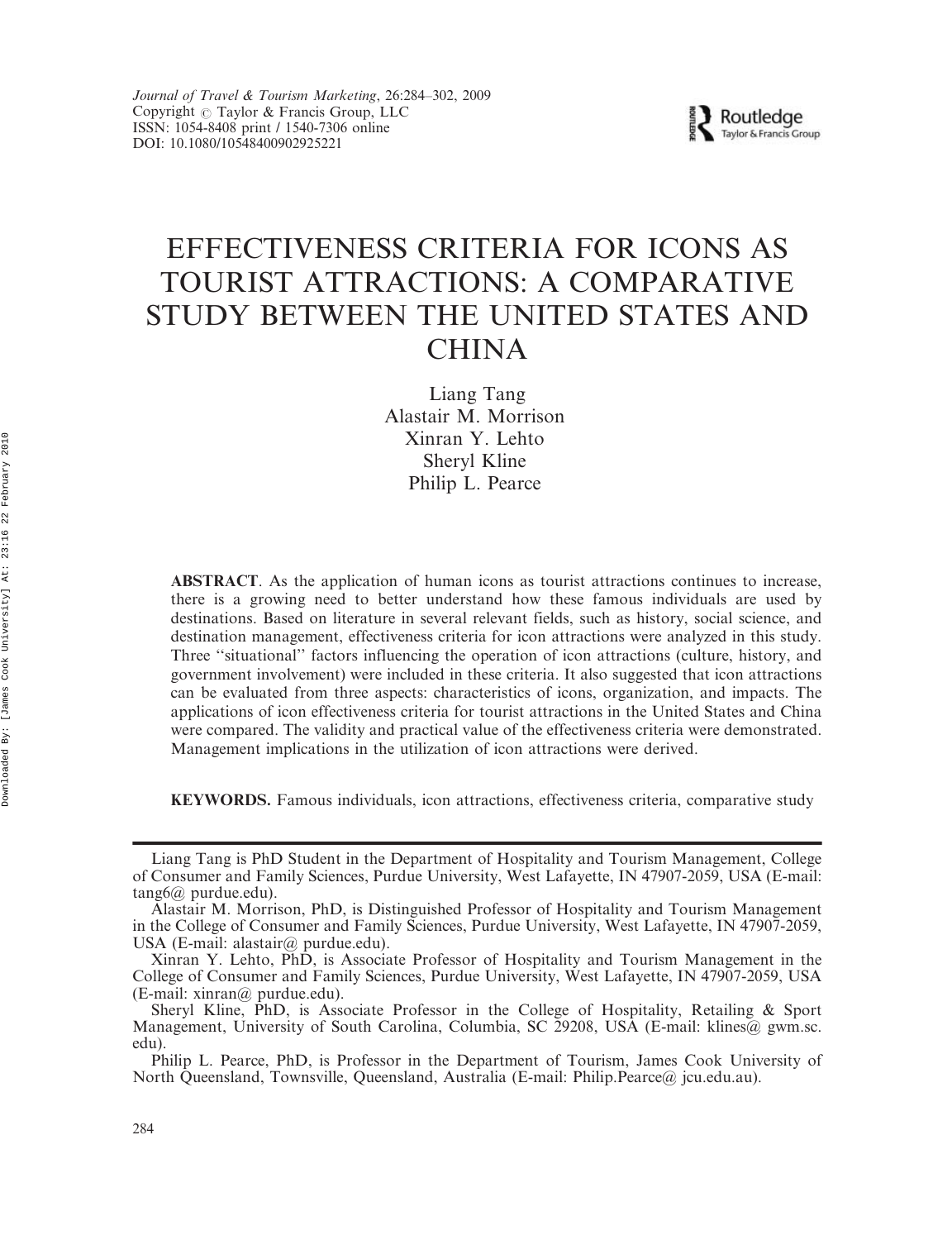# EFFECTIVENESS CRITERIA FOR ICONS AS TOURIST ATTRACTIONS: A COMPARATIVE STUDY BETWEEN THE UNITED STATES AND CHINA

Liang Tang Alastair M. Morrison Xinran Y. Lehto Sheryl Kline Philip L. Pearce

ABSTRACT. As the application of human icons as tourist attractions continues to increase, there is a growing need to better understand how these famous individuals are used by destinations. Based on literature in several relevant fields, such as history, social science, and destination management, effectiveness criteria for icon attractions were analyzed in this study. Three ''situational'' factors influencing the operation of icon attractions (culture, history, and government involvement) were included in these criteria. It also suggested that icon attractions can be evaluated from three aspects: characteristics of icons, organization, and impacts. The applications of icon effectiveness criteria for tourist attractions in the United States and China were compared. The validity and practical value of the effectiveness criteria were demonstrated. Management implications in the utilization of icon attractions were derived.

KEYWORDS. Famous individuals, icon attractions, effectiveness criteria, comparative study

Liang Tang is PhD Student in the Department of Hospitality and Tourism Management, College of Consumer and Family Sciences, Purdue University, West Lafayette, IN 47907-2059, USA (E-mail: tang6@ purdue.edu).

Alastair M. Morrison, PhD, is Distinguished Professor of Hospitality and Tourism Management in the College of Consumer and Family Sciences, Purdue University, West Lafayette, IN 47907-2059, USA (E-mail: alastair@ purdue.edu).

Xinran Y. Lehto, PhD, is Associate Professor of Hospitality and Tourism Management in the College of Consumer and Family Sciences, Purdue University, West Lafayette, IN 47907-2059, USA (E-mail: xinran@ purdue.edu).

Sheryl Kline, PhD, is Associate Professor in the College of Hospitality, Retailing & Sport Management, University of South Carolina, Columbia, SC 29208, USA (E-mail: klines@ gwm.sc. edu).

Philip L. Pearce, PhD, is Professor in the Department of Tourism, James Cook University of North Queensland, Townsville, Queensland, Australia (E-mail: Philip.Pearce@ jcu.edu.au).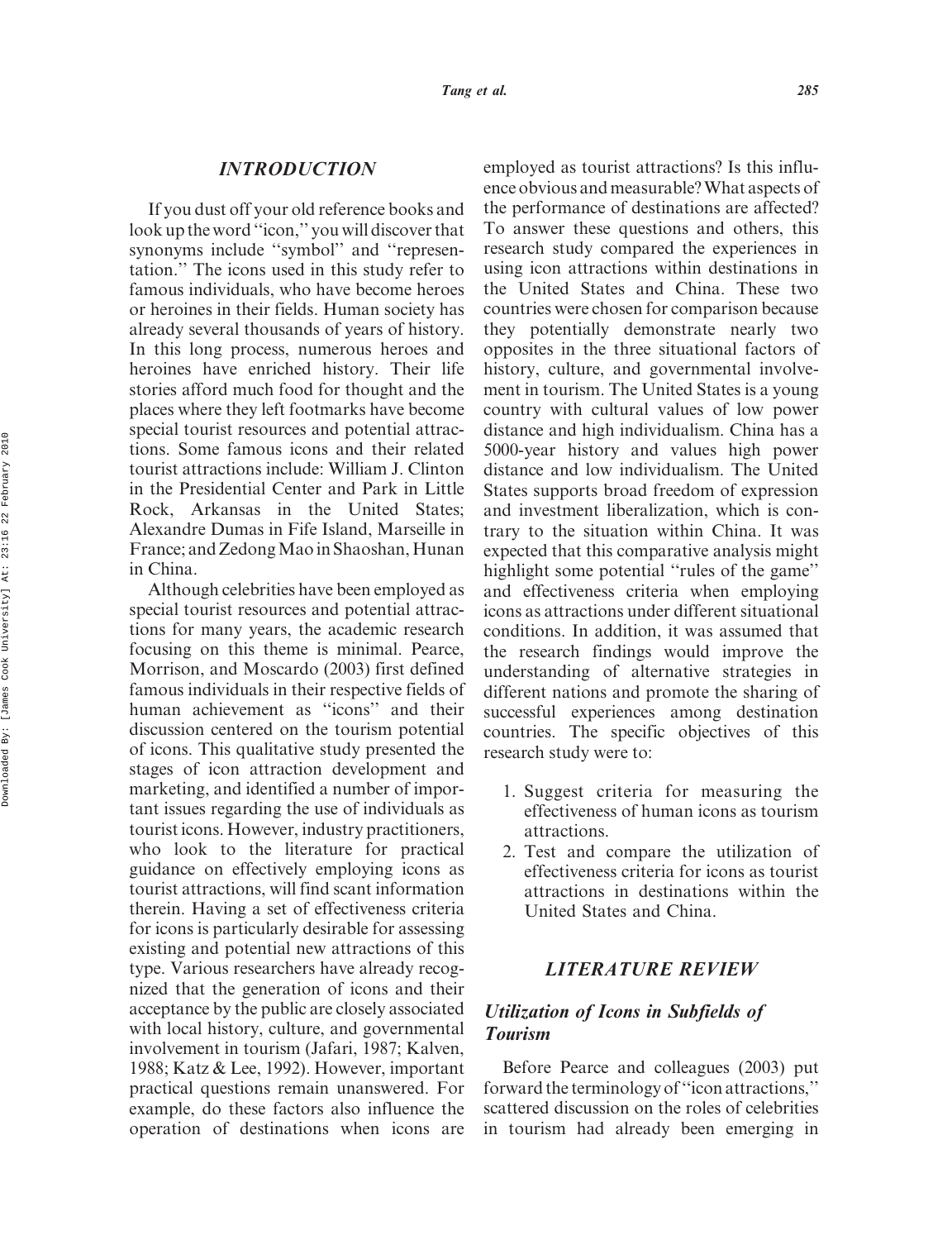#### **INTRODUCTION**

If you dust off your old reference books and look up the word ''icon,'' you will discover that synonyms include "symbol" and "representation.'' The icons used in this study refer to famous individuals, who have become heroes or heroines in their fields. Human society has already several thousands of years of history. In this long process, numerous heroes and heroines have enriched history. Their life stories afford much food for thought and the places where they left footmarks have become special tourist resources and potential attractions. Some famous icons and their related tourist attractions include: William J. Clinton in the Presidential Center and Park in Little Rock, Arkansas in the United States; Alexandre Dumas in Fife Island, Marseille in France; and ZedongMao in Shaoshan, Hunan in China.

Although celebrities have been employed as special tourist resources and potential attractions for many years, the academic research focusing on this theme is minimal. Pearce, Morrison, and Moscardo (2003) first defined famous individuals in their respective fields of human achievement as ''icons'' and their discussion centered on the tourism potential of icons. This qualitative study presented the stages of icon attraction development and marketing, and identified a number of important issues regarding the use of individuals as tourist icons. However, industry practitioners, who look to the literature for practical guidance on effectively employing icons as tourist attractions, will find scant information therein. Having a set of effectiveness criteria for icons is particularly desirable for assessing existing and potential new attractions of this type. Various researchers have already recognized that the generation of icons and their acceptance by the public are closely associated with local history, culture, and governmental involvement in tourism (Jafari, 1987; Kalven, 1988; Katz & Lee, 1992). However, important practical questions remain unanswered. For example, do these factors also influence the operation of destinations when icons are employed as tourist attractions? Is this influence obvious and measurable?What aspects of the performance of destinations are affected? To answer these questions and others, this research study compared the experiences in using icon attractions within destinations in the United States and China. These two countries were chosen for comparison because they potentially demonstrate nearly two opposites in the three situational factors of history, culture, and governmental involvement in tourism. The United States is a young country with cultural values of low power distance and high individualism. China has a 5000-year history and values high power distance and low individualism. The United States supports broad freedom of expression and investment liberalization, which is contrary to the situation within China. It was expected that this comparative analysis might highlight some potential "rules of the game" and effectiveness criteria when employing icons as attractions under different situational conditions. In addition, it was assumed that the research findings would improve the understanding of alternative strategies in different nations and promote the sharing of successful experiences among destination countries. The specific objectives of this research study were to:

- 1. Suggest criteria for measuring the effectiveness of human icons as tourism attractions.
- 2. Test and compare the utilization of effectiveness criteria for icons as tourist attractions in destinations within the United States and China.

## LITERATURE REVIEW

## Utilization of Icons in Subfields of Tourism

Before Pearce and colleagues (2003) put forward the terminology of ''icon attractions,'' scattered discussion on the roles of celebrities in tourism had already been emerging in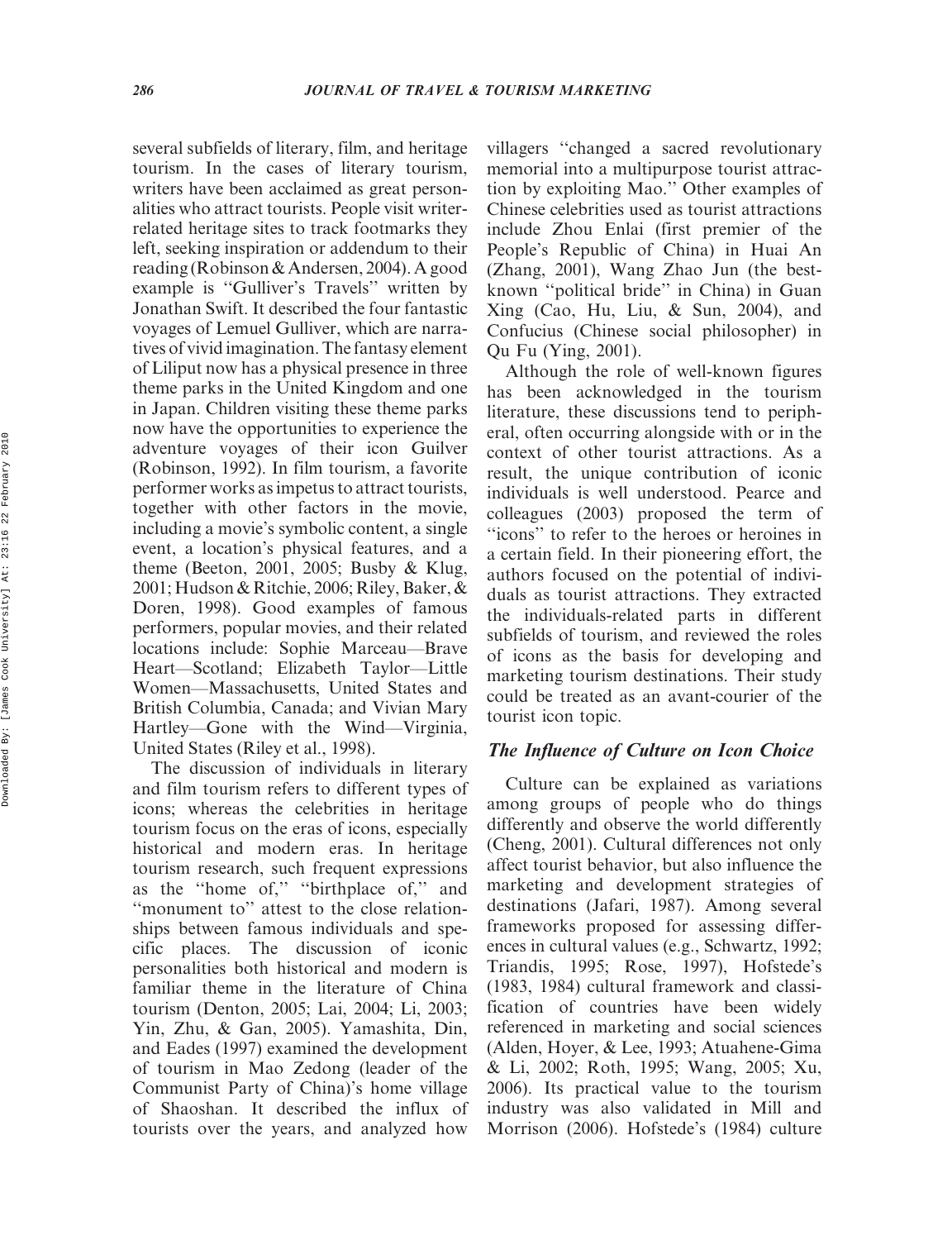several subfields of literary, film, and heritage tourism. In the cases of literary tourism, writers have been acclaimed as great personalities who attract tourists. People visit writerrelated heritage sites to track footmarks they left, seeking inspiration or addendum to their reading (Robinson & Andersen, 2004). A good example is ''Gulliver's Travels'' written by Jonathan Swift. It described the four fantastic voyages of Lemuel Gulliver, which are narratives of vivid imagination. The fantasy element of Liliput now has a physical presence in three theme parks in the United Kingdom and one in Japan. Children visiting these theme parks now have the opportunities to experience the adventure voyages of their icon Guilver (Robinson, 1992). In film tourism, a favorite performer works as impetus to attract tourists, together with other factors in the movie, including a movie's symbolic content, a single event, a location's physical features, and a theme (Beeton, 2001, 2005; Busby & Klug, 2001; Hudson & Ritchie, 2006; Riley, Baker, & Doren, 1998). Good examples of famous performers, popular movies, and their related locations include: Sophie Marceau—Brave Heart—Scotland; Elizabeth Taylor—Little Women—Massachusetts, United States and British Columbia, Canada; and Vivian Mary Hartley—Gone with the Wind—Virginia, United States (Riley et al., 1998).

The discussion of individuals in literary and film tourism refers to different types of icons; whereas the celebrities in heritage tourism focus on the eras of icons, especially historical and modern eras. In heritage tourism research, such frequent expressions as the ''home of,'' ''birthplace of,'' and ''monument to'' attest to the close relationships between famous individuals and specific places. The discussion of iconic personalities both historical and modern is familiar theme in the literature of China tourism (Denton, 2005; Lai, 2004; Li, 2003; Yin, Zhu, & Gan, 2005). Yamashita, Din, and Eades (1997) examined the development of tourism in Mao Zedong (leader of the Communist Party of China)'s home village of Shaoshan. It described the influx of tourists over the years, and analyzed how villagers ''changed a sacred revolutionary memorial into a multipurpose tourist attraction by exploiting Mao.'' Other examples of Chinese celebrities used as tourist attractions include Zhou Enlai (first premier of the People's Republic of China) in Huai An (Zhang, 2001), Wang Zhao Jun (the bestknown ''political bride'' in China) in Guan Xing (Cao, Hu, Liu, & Sun, 2004), and Confucius (Chinese social philosopher) in Qu Fu (Ying, 2001).

Although the role of well-known figures has been acknowledged in the tourism literature, these discussions tend to peripheral, often occurring alongside with or in the context of other tourist attractions. As a result, the unique contribution of iconic individuals is well understood. Pearce and colleagues (2003) proposed the term of ''icons'' to refer to the heroes or heroines in a certain field. In their pioneering effort, the authors focused on the potential of individuals as tourist attractions. They extracted the individuals-related parts in different subfields of tourism, and reviewed the roles of icons as the basis for developing and marketing tourism destinations. Their study could be treated as an avant-courier of the tourist icon topic.

#### The Influence of Culture on Icon Choice

Culture can be explained as variations among groups of people who do things differently and observe the world differently (Cheng, 2001). Cultural differences not only affect tourist behavior, but also influence the marketing and development strategies of destinations (Jafari, 1987). Among several frameworks proposed for assessing differences in cultural values (e.g., Schwartz, 1992; Triandis, 1995; Rose, 1997), Hofstede's (1983, 1984) cultural framework and classification of countries have been widely referenced in marketing and social sciences (Alden, Hoyer, & Lee, 1993; Atuahene-Gima & Li, 2002; Roth, 1995; Wang, 2005; Xu, 2006). Its practical value to the tourism industry was also validated in Mill and Morrison (2006). Hofstede's (1984) culture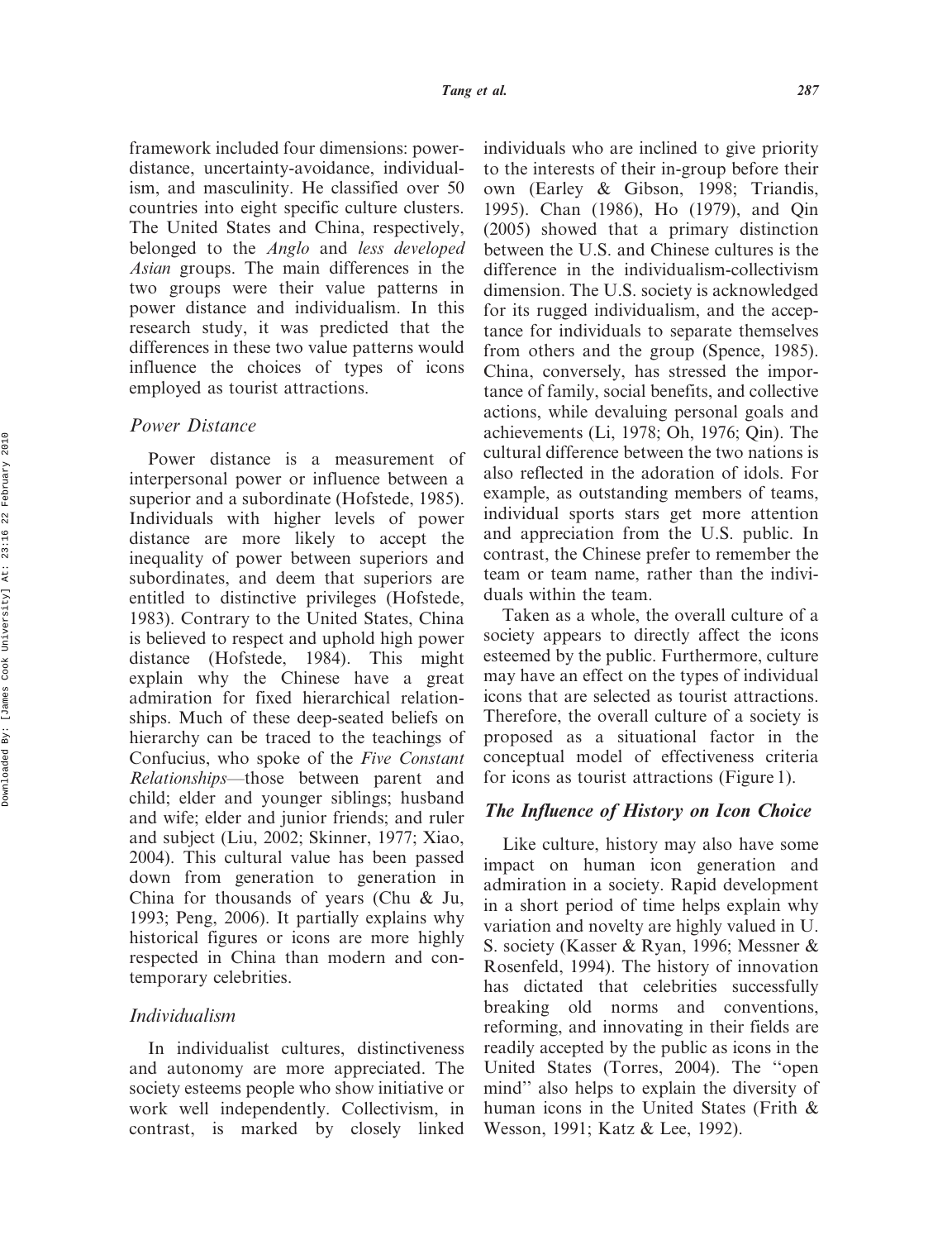framework included four dimensions: powerdistance, uncertainty-avoidance, individualism, and masculinity. He classified over 50 countries into eight specific culture clusters. The United States and China, respectively, belonged to the Anglo and less developed Asian groups. The main differences in the two groups were their value patterns in power distance and individualism. In this research study, it was predicted that the differences in these two value patterns would influence the choices of types of icons employed as tourist attractions.

#### Power Distance

Power distance is a measurement of interpersonal power or influence between a superior and a subordinate (Hofstede, 1985). Individuals with higher levels of power distance are more likely to accept the inequality of power between superiors and subordinates, and deem that superiors are entitled to distinctive privileges (Hofstede, 1983). Contrary to the United States, China is believed to respect and uphold high power distance (Hofstede, 1984). This might explain why the Chinese have a great admiration for fixed hierarchical relationships. Much of these deep-seated beliefs on hierarchy can be traced to the teachings of Confucius, who spoke of the Five Constant Relationships—those between parent and child; elder and younger siblings; husband and wife; elder and junior friends; and ruler and subject (Liu, 2002; Skinner, 1977; Xiao, 2004). This cultural value has been passed down from generation to generation in China for thousands of years (Chu & Ju, 1993; Peng, 2006). It partially explains why historical figures or icons are more highly respected in China than modern and contemporary celebrities.

#### Individualism

In individualist cultures, distinctiveness and autonomy are more appreciated. The society esteems people who show initiative or work well independently. Collectivism, in contrast, is marked by closely linked

individuals who are inclined to give priority to the interests of their in-group before their own (Earley & Gibson, 1998; Triandis, 1995). Chan (1986), Ho (1979), and Qin (2005) showed that a primary distinction between the U.S. and Chinese cultures is the difference in the individualism-collectivism dimension. The U.S. society is acknowledged for its rugged individualism, and the acceptance for individuals to separate themselves from others and the group (Spence, 1985). China, conversely, has stressed the importance of family, social benefits, and collective actions, while devaluing personal goals and achievements (Li, 1978; Oh, 1976; Qin). The cultural difference between the two nations is also reflected in the adoration of idols. For example, as outstanding members of teams, individual sports stars get more attention and appreciation from the U.S. public. In contrast, the Chinese prefer to remember the team or team name, rather than the individuals within the team.

Taken as a whole, the overall culture of a society appears to directly affect the icons esteemed by the public. Furthermore, culture may have an effect on the types of individual icons that are selected as tourist attractions. Therefore, the overall culture of a society is proposed as a situational factor in the conceptual model of effectiveness criteria for icons as tourist attractions (Figure 1).

## The Influence of History on Icon Choice

Like culture, history may also have some impact on human icon generation and admiration in a society. Rapid development in a short period of time helps explain why variation and novelty are highly valued in U. S. society (Kasser & Ryan, 1996; Messner & Rosenfeld, 1994). The history of innovation has dictated that celebrities successfully breaking old norms and conventions, reforming, and innovating in their fields are readily accepted by the public as icons in the United States (Torres, 2004). The ''open mind'' also helps to explain the diversity of human icons in the United States (Frith & Wesson, 1991; Katz & Lee, 1992).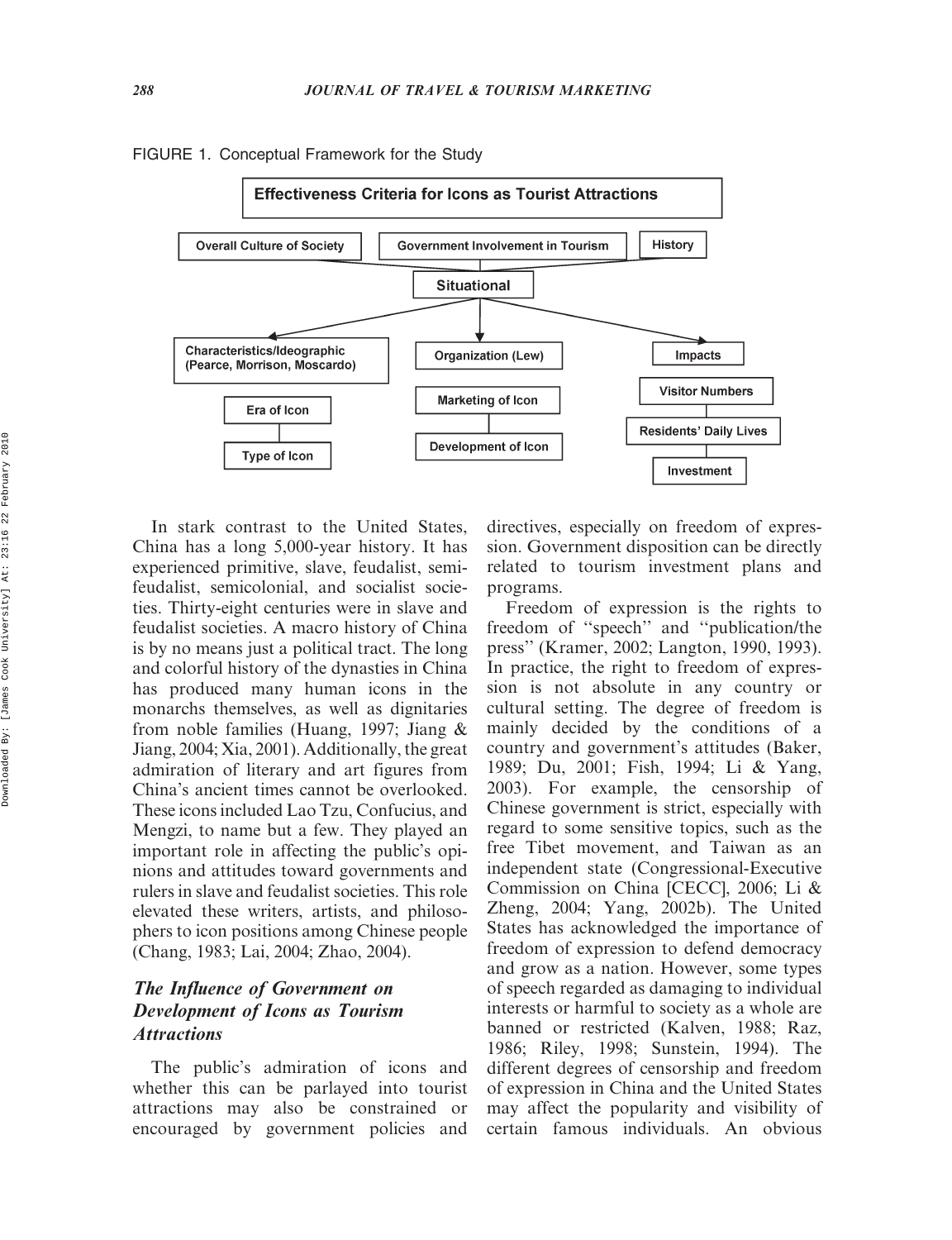

FIGURE 1. Conceptual Framework for the Study

In stark contrast to the United States, China has a long 5,000-year history. It has experienced primitive, slave, feudalist, semifeudalist, semicolonial, and socialist societies. Thirty-eight centuries were in slave and feudalist societies. A macro history of China is by no means just a political tract. The long and colorful history of the dynasties in China has produced many human icons in the monarchs themselves, as well as dignitaries from noble families (Huang, 1997; Jiang & Jiang, 2004; Xia, 2001). Additionally, the great admiration of literary and art figures from China's ancient times cannot be overlooked. These icons included Lao Tzu, Confucius, and Mengzi, to name but a few. They played an important role in affecting the public's opinions and attitudes toward governments and rulers in slave and feudalist societies. This role elevated these writers, artists, and philosophers to icon positions among Chinese people (Chang, 1983; Lai, 2004; Zhao, 2004).

## The Influence of Government on Development of Icons as Tourism Attractions

The public's admiration of icons and whether this can be parlayed into tourist attractions may also be constrained or encouraged by government policies and

directives, especially on freedom of expression. Government disposition can be directly related to tourism investment plans and programs.

Freedom of expression is the rights to freedom of ''speech'' and ''publication/the press'' (Kramer, 2002; Langton, 1990, 1993). In practice, the right to freedom of expression is not absolute in any country or cultural setting. The degree of freedom is mainly decided by the conditions of a country and government's attitudes (Baker, 1989; Du, 2001; Fish, 1994; Li & Yang, 2003). For example, the censorship of Chinese government is strict, especially with regard to some sensitive topics, such as the free Tibet movement, and Taiwan as an independent state (Congressional-Executive Commission on China [CECC], 2006; Li & Zheng, 2004; Yang, 2002b). The United States has acknowledged the importance of freedom of expression to defend democracy and grow as a nation. However, some types of speech regarded as damaging to individual interests or harmful to society as a whole are banned or restricted (Kalven, 1988; Raz, 1986; Riley, 1998; Sunstein, 1994). The different degrees of censorship and freedom of expression in China and the United States may affect the popularity and visibility of certain famous individuals. An obvious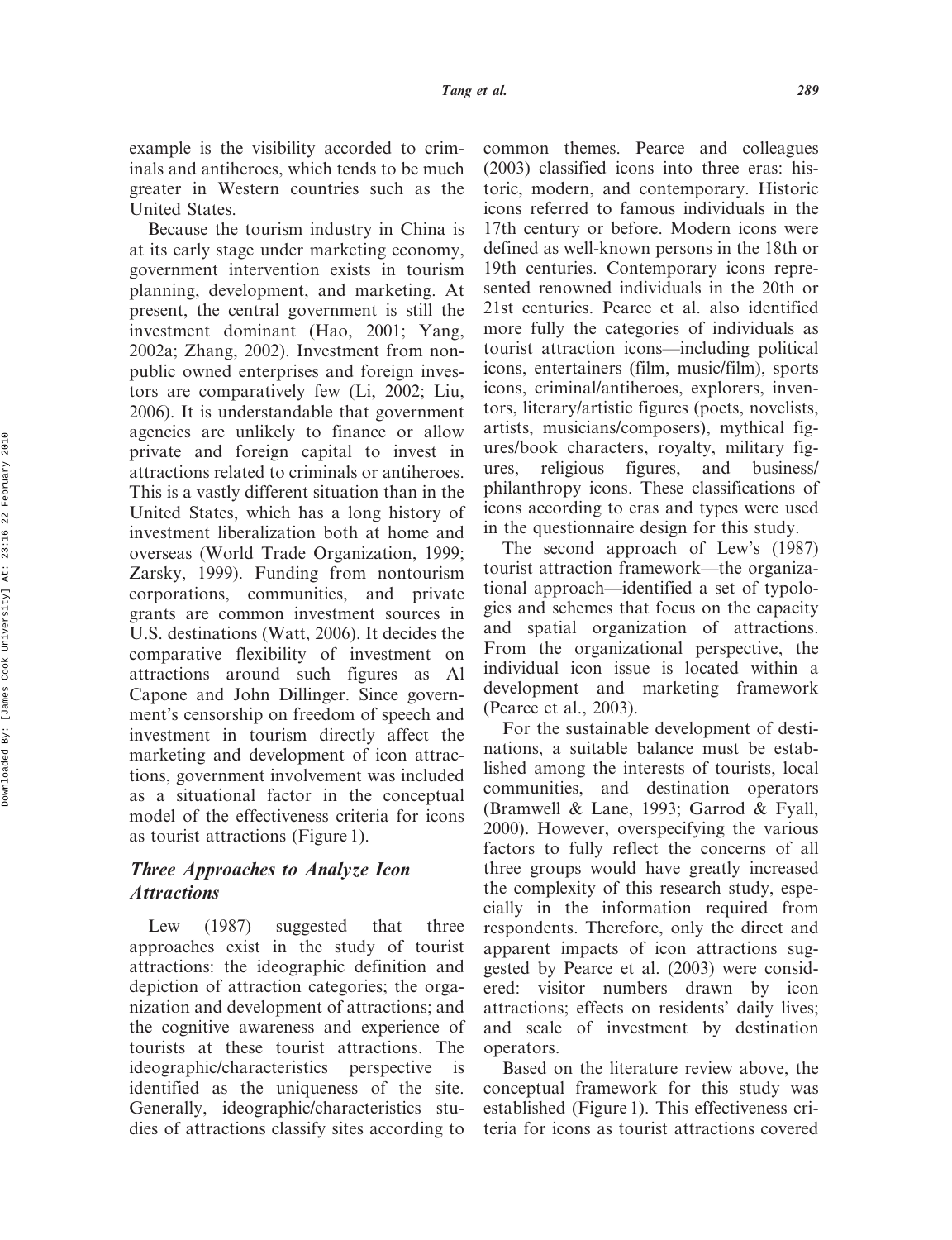example is the visibility accorded to criminals and antiheroes, which tends to be much greater in Western countries such as the United States.

Because the tourism industry in China is at its early stage under marketing economy, government intervention exists in tourism planning, development, and marketing. At present, the central government is still the investment dominant (Hao, 2001; Yang, 2002a; Zhang, 2002). Investment from nonpublic owned enterprises and foreign investors are comparatively few (Li, 2002; Liu, 2006). It is understandable that government agencies are unlikely to finance or allow private and foreign capital to invest in attractions related to criminals or antiheroes. This is a vastly different situation than in the United States, which has a long history of investment liberalization both at home and overseas (World Trade Organization, 1999; Zarsky, 1999). Funding from nontourism corporations, communities, and private grants are common investment sources in U.S. destinations (Watt, 2006). It decides the comparative flexibility of investment on attractions around such figures as Al Capone and John Dillinger. Since government's censorship on freedom of speech and investment in tourism directly affect the marketing and development of icon attractions, government involvement was included as a situational factor in the conceptual model of the effectiveness criteria for icons as tourist attractions (Figure 1).

## Three Approaches to Analyze Icon Attractions

Lew (1987) suggested that three approaches exist in the study of tourist attractions: the ideographic definition and depiction of attraction categories; the organization and development of attractions; and the cognitive awareness and experience of tourists at these tourist attractions. The ideographic/characteristics perspective is identified as the uniqueness of the site. Generally, ideographic/characteristics studies of attractions classify sites according to

common themes. Pearce and colleagues (2003) classified icons into three eras: historic, modern, and contemporary. Historic icons referred to famous individuals in the 17th century or before. Modern icons were defined as well-known persons in the 18th or 19th centuries. Contemporary icons represented renowned individuals in the 20th or 21st centuries. Pearce et al. also identified more fully the categories of individuals as tourist attraction icons—including political icons, entertainers (film, music/film), sports icons, criminal/antiheroes, explorers, inventors, literary/artistic figures (poets, novelists, artists, musicians/composers), mythical figures/book characters, royalty, military figures, religious figures, and business/ philanthropy icons. These classifications of icons according to eras and types were used in the questionnaire design for this study.

The second approach of Lew's (1987) tourist attraction framework—the organizational approach—identified a set of typologies and schemes that focus on the capacity and spatial organization of attractions. From the organizational perspective, the individual icon issue is located within a development and marketing framework (Pearce et al., 2003).

For the sustainable development of destinations, a suitable balance must be established among the interests of tourists, local communities, and destination operators (Bramwell & Lane, 1993; Garrod & Fyall, 2000). However, overspecifying the various factors to fully reflect the concerns of all three groups would have greatly increased the complexity of this research study, especially in the information required from respondents. Therefore, only the direct and apparent impacts of icon attractions suggested by Pearce et al. (2003) were considered: visitor numbers drawn by icon attractions; effects on residents' daily lives; and scale of investment by destination operators.

Based on the literature review above, the conceptual framework for this study was established (Figure 1). This effectiveness criteria for icons as tourist attractions covered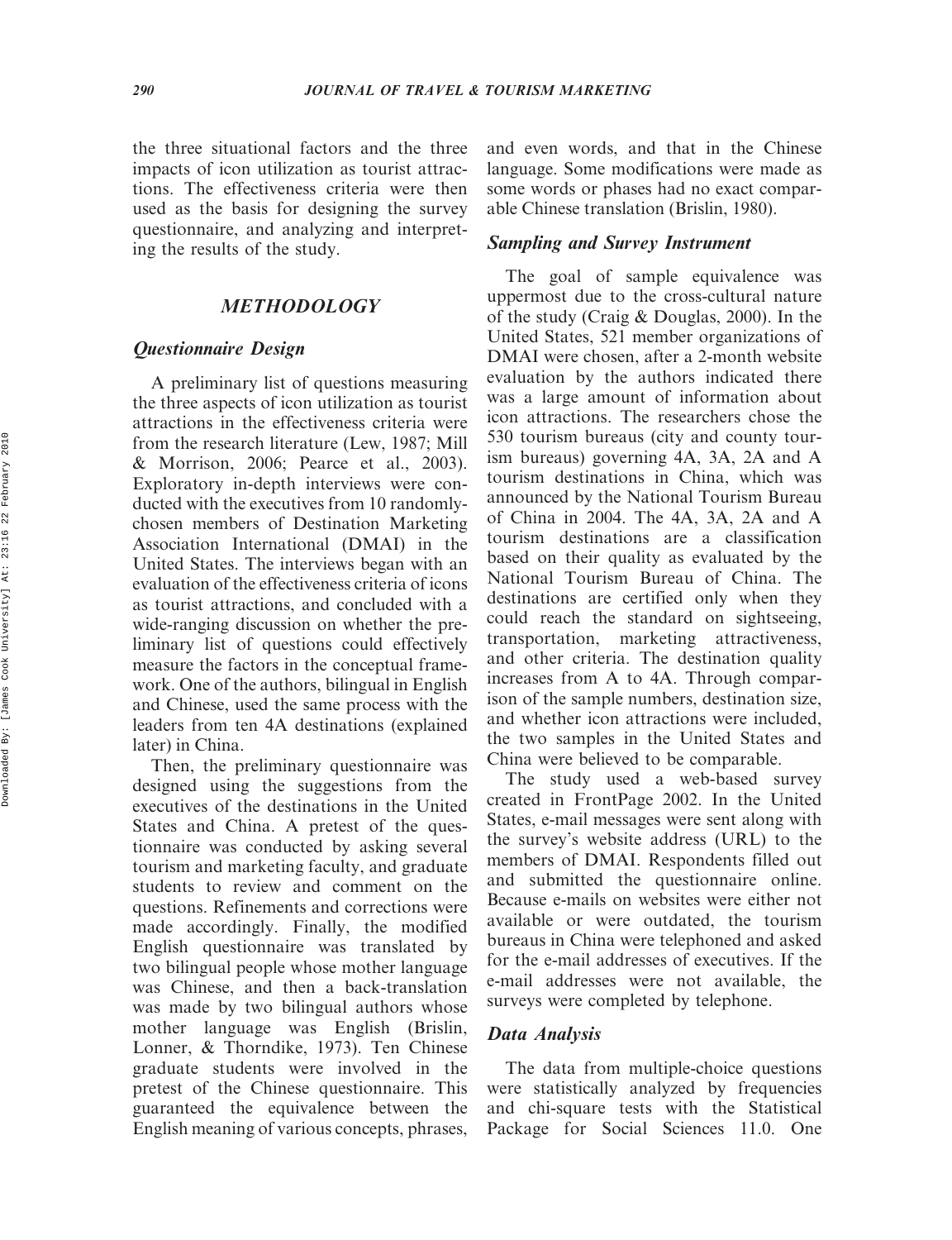the three situational factors and the three impacts of icon utilization as tourist attractions. The effectiveness criteria were then used as the basis for designing the survey questionnaire, and analyzing and interpreting the results of the study.

## **METHODOLOGY**

#### Questionnaire Design

A preliminary list of questions measuring the three aspects of icon utilization as tourist attractions in the effectiveness criteria were from the research literature (Lew, 1987; Mill & Morrison, 2006; Pearce et al., 2003). Exploratory in-depth interviews were conducted with the executives from 10 randomlychosen members of Destination Marketing Association International (DMAI) in the United States. The interviews began with an evaluation of the effectiveness criteria of icons as tourist attractions, and concluded with a wide-ranging discussion on whether the preliminary list of questions could effectively measure the factors in the conceptual framework. One of the authors, bilingual in English and Chinese, used the same process with the leaders from ten 4A destinations (explained later) in China.

Then, the preliminary questionnaire was designed using the suggestions from the executives of the destinations in the United States and China. A pretest of the questionnaire was conducted by asking several tourism and marketing faculty, and graduate students to review and comment on the questions. Refinements and corrections were made accordingly. Finally, the modified English questionnaire was translated by two bilingual people whose mother language was Chinese, and then a back-translation was made by two bilingual authors whose mother language was English (Brislin, Lonner, & Thorndike, 1973). Ten Chinese graduate students were involved in the pretest of the Chinese questionnaire. This guaranteed the equivalence between the English meaning of various concepts, phrases, and even words, and that in the Chinese language. Some modifications were made as some words or phases had no exact comparable Chinese translation (Brislin, 1980).

#### Sampling and Survey Instrument

The goal of sample equivalence was uppermost due to the cross-cultural nature of the study (Craig & Douglas, 2000). In the United States, 521 member organizations of DMAI were chosen, after a 2-month website evaluation by the authors indicated there was a large amount of information about icon attractions. The researchers chose the 530 tourism bureaus (city and county tourism bureaus) governing 4A, 3A, 2A and A tourism destinations in China, which was announced by the National Tourism Bureau of China in 2004. The 4A, 3A, 2A and A tourism destinations are a classification based on their quality as evaluated by the National Tourism Bureau of China. The destinations are certified only when they could reach the standard on sightseeing, transportation, marketing attractiveness, and other criteria. The destination quality increases from A to 4A. Through comparison of the sample numbers, destination size, and whether icon attractions were included, the two samples in the United States and China were believed to be comparable.

The study used a web-based survey created in FrontPage 2002. In the United States, e-mail messages were sent along with the survey's website address (URL) to the members of DMAI. Respondents filled out and submitted the questionnaire online. Because e-mails on websites were either not available or were outdated, the tourism bureaus in China were telephoned and asked for the e-mail addresses of executives. If the e-mail addresses were not available, the surveys were completed by telephone.

#### Data Analysis

The data from multiple-choice questions were statistically analyzed by frequencies and chi-square tests with the Statistical Package for Social Sciences 11.0. One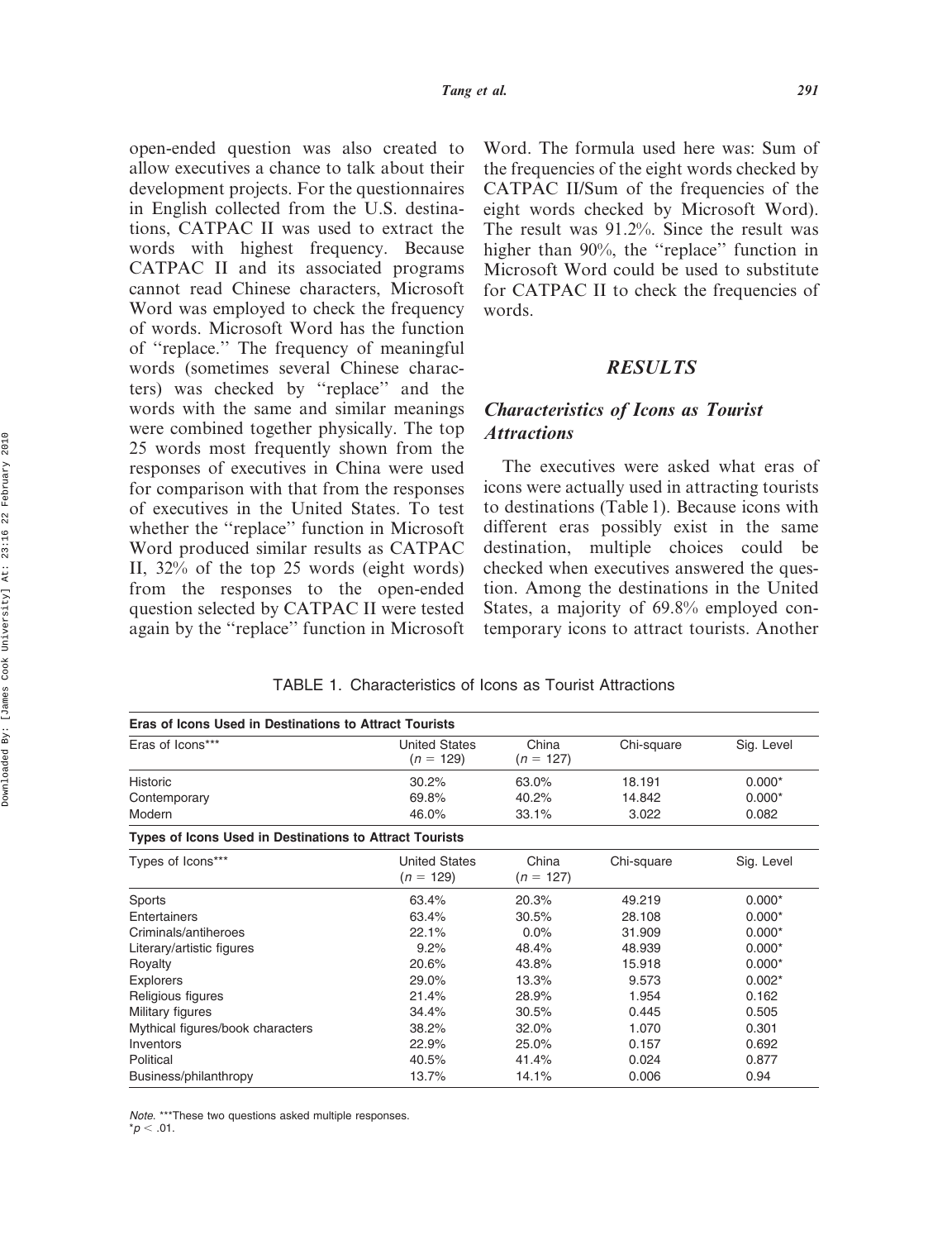open-ended question was also created to allow executives a chance to talk about their development projects. For the questionnaires in English collected from the U.S. destinations, CATPAC II was used to extract the words with highest frequency. Because CATPAC II and its associated programs cannot read Chinese characters, Microsoft Word was employed to check the frequency of words. Microsoft Word has the function of ''replace.'' The frequency of meaningful words (sometimes several Chinese characters) was checked by ''replace'' and the words with the same and similar meanings were combined together physically. The top 25 words most frequently shown from the responses of executives in China were used for comparison with that from the responses of executives in the United States. To test whether the ''replace'' function in Microsoft Word produced similar results as CATPAC II, 32% of the top 25 words (eight words) from the responses to the open-ended question selected by CATPAC II were tested again by the ''replace'' function in Microsoft

Word. The formula used here was: Sum of the frequencies of the eight words checked by CATPAC II/Sum of the frequencies of the eight words checked by Microsoft Word). The result was 91.2%. Since the result was higher than 90%, the "replace" function in Microsoft Word could be used to substitute for CATPAC II to check the frequencies of words.

#### RESULTS

## Characteristics of Icons as Tourist **Attractions**

The executives were asked what eras of icons were actually used in attracting tourists to destinations (Table 1). Because icons with different eras possibly exist in the same destination, multiple choices could be checked when executives answered the question. Among the destinations in the United States, a majority of 69.8% employed contemporary icons to attract tourists. Another

| Eras of Icons Used in Destinations to Attract Tourists  |                                     |                                    |        |            |  |  |  |
|---------------------------------------------------------|-------------------------------------|------------------------------------|--------|------------|--|--|--|
| Eras of Icons***                                        | <b>United States</b><br>$(n = 129)$ | China<br>$(n = 127)$               |        | Sig. Level |  |  |  |
| Historic                                                | 30.2%                               | 63.0%                              | 18.191 | $0.000*$   |  |  |  |
| Contemporary                                            | 69.8%                               | 40.2%                              | 14.842 | $0.000*$   |  |  |  |
| Modern                                                  | 46.0%                               | 33.1%                              | 3.022  | 0.082      |  |  |  |
| Types of Icons Used in Destinations to Attract Tourists |                                     |                                    |        |            |  |  |  |
| Types of Icons***                                       | <b>United States</b><br>$(n = 129)$ | China<br>Chi-square<br>$(n = 127)$ |        | Sig. Level |  |  |  |
| Sports                                                  | 63.4%                               | 20.3%                              | 49.219 | $0.000*$   |  |  |  |
| Entertainers                                            | 63.4%                               | 30.5%                              | 28.108 | $0.000*$   |  |  |  |
| Criminals/antiheroes                                    | 22.1%                               | 0.0%                               | 31.909 | $0.000*$   |  |  |  |
| Literary/artistic figures                               | 9.2%                                | 48.4%                              | 48.939 | $0.000*$   |  |  |  |
| Royalty                                                 | 20.6%                               | 43.8%                              | 15.918 | $0.000*$   |  |  |  |
| Explorers                                               | 29.0%                               | 13.3%                              | 9.573  | $0.002*$   |  |  |  |
| Religious figures                                       | 21.4%                               | 28.9%                              | 1.954  | 0.162      |  |  |  |
| Military figures                                        | 34.4%                               | 30.5%                              | 0.445  | 0.505      |  |  |  |
| Mythical figures/book characters                        | 38.2%                               | 32.0%                              | 1.070  | 0.301      |  |  |  |
| Inventors                                               | 22.9%                               | 25.0%                              | 0.157  | 0.692      |  |  |  |
| Political                                               | 40.5%                               | 41.4%                              | 0.024  | 0.877      |  |  |  |
| Business/philanthropy                                   | 13.7%                               | 14.1%                              | 0.006  | 0.94       |  |  |  |

TABLE 1. Characteristics of Icons as Tourist Attractions

Note. \*\*\*These two questions asked multiple responses.

 $*_{p}$  < .01.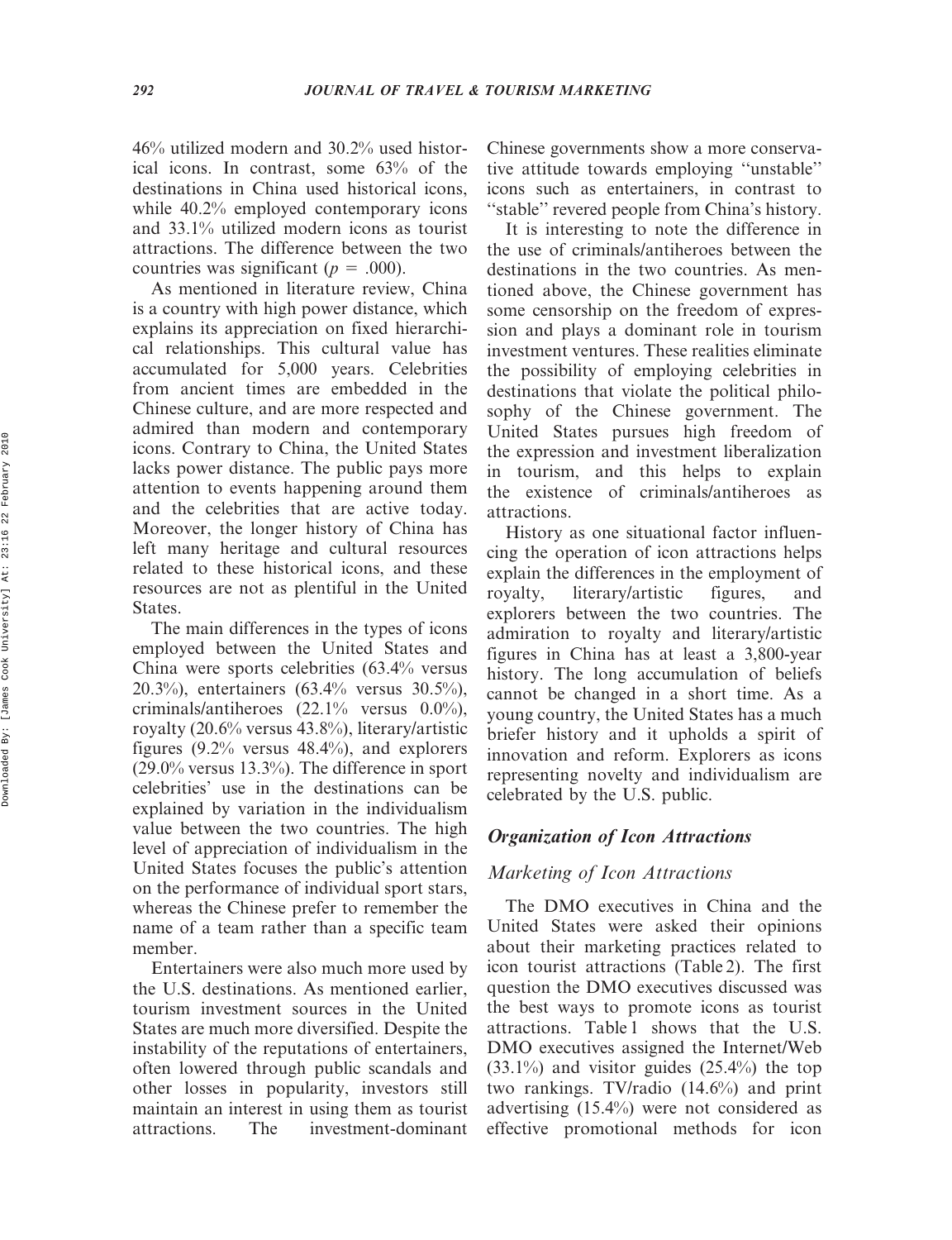46% utilized modern and 30.2% used historical icons. In contrast, some 63% of the destinations in China used historical icons, while 40.2% employed contemporary icons and 33.1% utilized modern icons as tourist attractions. The difference between the two countries was significant ( $p = .000$ ).

As mentioned in literature review, China is a country with high power distance, which explains its appreciation on fixed hierarchical relationships. This cultural value has accumulated for 5,000 years. Celebrities from ancient times are embedded in the Chinese culture, and are more respected and admired than modern and contemporary icons. Contrary to China, the United States lacks power distance. The public pays more attention to events happening around them and the celebrities that are active today. Moreover, the longer history of China has left many heritage and cultural resources related to these historical icons, and these resources are not as plentiful in the United States.

The main differences in the types of icons employed between the United States and China were sports celebrities (63.4% versus 20.3%), entertainers (63.4% versus 30.5%), criminals/antiheroes (22.1% versus 0.0%), royalty (20.6% versus 43.8%), literary/artistic figures (9.2% versus 48.4%), and explorers (29.0% versus 13.3%). The difference in sport celebrities' use in the destinations can be explained by variation in the individualism value between the two countries. The high level of appreciation of individualism in the United States focuses the public's attention on the performance of individual sport stars, whereas the Chinese prefer to remember the name of a team rather than a specific team member.

Entertainers were also much more used by the U.S. destinations. As mentioned earlier, tourism investment sources in the United States are much more diversified. Despite the instability of the reputations of entertainers, often lowered through public scandals and other losses in popularity, investors still maintain an interest in using them as tourist attractions. The investment-dominant Chinese governments show a more conservative attitude towards employing ''unstable'' icons such as entertainers, in contrast to "stable" revered people from China's history.

It is interesting to note the difference in the use of criminals/antiheroes between the destinations in the two countries. As mentioned above, the Chinese government has some censorship on the freedom of expression and plays a dominant role in tourism investment ventures. These realities eliminate the possibility of employing celebrities in destinations that violate the political philosophy of the Chinese government. The United States pursues high freedom of the expression and investment liberalization in tourism, and this helps to explain the existence of criminals/antiheroes as attractions.

History as one situational factor influencing the operation of icon attractions helps explain the differences in the employment of royalty, literary/artistic figures, and explorers between the two countries. The admiration to royalty and literary/artistic figures in China has at least a 3,800-year history. The long accumulation of beliefs cannot be changed in a short time. As a young country, the United States has a much briefer history and it upholds a spirit of innovation and reform. Explorers as icons representing novelty and individualism are celebrated by the U.S. public.

#### Organization of Icon Attractions

#### Marketing of Icon Attractions

The DMO executives in China and the United States were asked their opinions about their marketing practices related to icon tourist attractions (Table 2). The first question the DMO executives discussed was the best ways to promote icons as tourist attractions. Table 1 shows that the U.S. DMO executives assigned the Internet/Web  $(33.1\%)$  and visitor guides  $(25.4\%)$  the top two rankings. TV/radio (14.6%) and print advertising (15.4%) were not considered as effective promotional methods for icon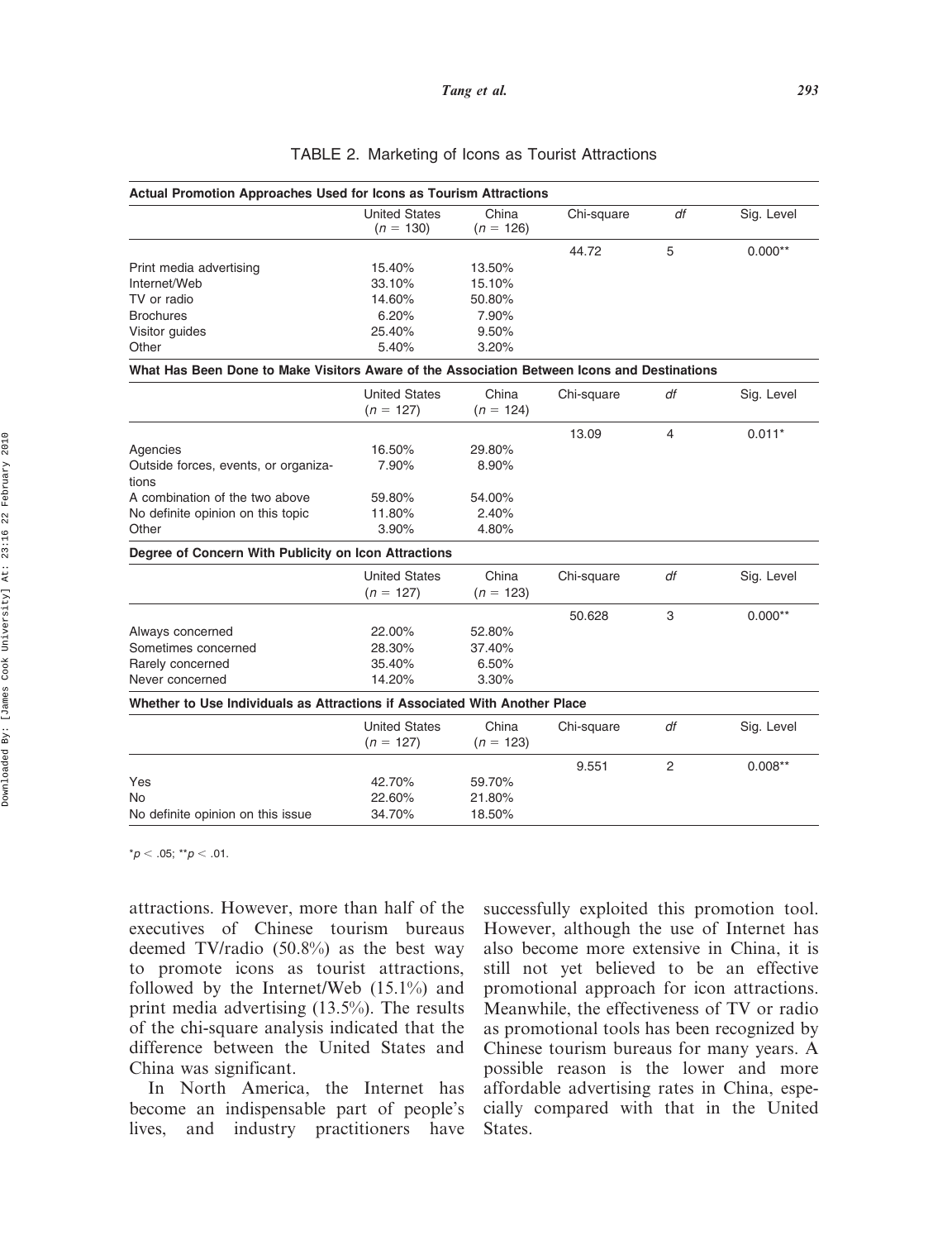| TABLE 2. Marketing of Icons as Tourist Attractions |  |  |  |  |  |
|----------------------------------------------------|--|--|--|--|--|
|----------------------------------------------------|--|--|--|--|--|

| <b>Actual Promotion Approaches Used for Icons as Tourism Attractions</b>                    |                                     |                      |            |                |            |
|---------------------------------------------------------------------------------------------|-------------------------------------|----------------------|------------|----------------|------------|
|                                                                                             | <b>United States</b><br>$(n = 130)$ | China<br>$(n = 126)$ | Chi-square | df             | Sig. Level |
|                                                                                             |                                     |                      | 44.72      | 5              | $0.000**$  |
| Print media advertising                                                                     | 15.40%                              | 13.50%               |            |                |            |
| Internet/Web                                                                                | 33.10%                              | 15.10%               |            |                |            |
| TV or radio                                                                                 | 14.60%                              | 50.80%               |            |                |            |
| <b>Brochures</b>                                                                            | 6.20%                               | 7.90%                |            |                |            |
| Visitor guides                                                                              | 25.40%                              | 9.50%                |            |                |            |
| Other                                                                                       | 5.40%                               | 3.20%                |            |                |            |
| What Has Been Done to Make Visitors Aware of the Association Between Icons and Destinations |                                     |                      |            |                |            |
|                                                                                             | <b>United States</b>                | China                | Chi-square | df             | Sig. Level |
|                                                                                             | $(n = 127)$                         | $(n = 124)$          |            |                |            |
|                                                                                             |                                     |                      | 13.09      | $\overline{4}$ | $0.011*$   |
| Agencies                                                                                    | 16.50%                              | 29.80%               |            |                |            |
| Outside forces, events, or organiza-                                                        | 7.90%                               | 8.90%                |            |                |            |
| tions                                                                                       |                                     |                      |            |                |            |
| A combination of the two above                                                              | 59.80%                              | 54.00%               |            |                |            |
| No definite opinion on this topic                                                           | 11.80%                              | 2.40%                |            |                |            |
| Other                                                                                       | 3.90%                               | 4.80%                |            |                |            |
| Degree of Concern With Publicity on Icon Attractions                                        |                                     |                      |            |                |            |
|                                                                                             | <b>United States</b>                | China                | Chi-square | df             | Sig. Level |
|                                                                                             | $(n = 127)$                         | $(n = 123)$          |            |                |            |
|                                                                                             |                                     |                      | 50.628     | 3              | $0.000**$  |
| Always concerned                                                                            | 22.00%                              | 52.80%               |            |                |            |
| Sometimes concerned                                                                         | 28.30%                              | 37.40%               |            |                |            |
| Rarely concerned                                                                            | 35.40%                              | 6.50%                |            |                |            |
| Never concerned                                                                             | 14.20%                              | 3.30%                |            |                |            |
| Whether to Use Individuals as Attractions if Associated With Another Place                  |                                     |                      |            |                |            |
|                                                                                             | <b>United States</b>                | China                | Chi-square | df             | Sig. Level |
|                                                                                             | $(n = 127)$                         | $(n = 123)$          |            |                |            |
|                                                                                             |                                     |                      | 9.551      | $\overline{2}$ | $0.008**$  |
| Yes                                                                                         | 42.70%                              | 59.70%               |            |                |            |
| No                                                                                          | 22.60%                              | 21.80%               |            |                |            |
| No definite opinion on this issue                                                           | 34.70%                              | 18.50%               |            |                |            |

 $*p < .05; **p < .01.$ 

attractions. However, more than half of the executives of Chinese tourism bureaus deemed TV/radio (50.8%) as the best way to promote icons as tourist attractions, followed by the Internet/Web (15.1%) and print media advertising (13.5%). The results of the chi-square analysis indicated that the difference between the United States and China was significant.

In North America, the Internet has become an indispensable part of people's lives, and industry practitioners have successfully exploited this promotion tool. However, although the use of Internet has also become more extensive in China, it is still not yet believed to be an effective promotional approach for icon attractions. Meanwhile, the effectiveness of TV or radio as promotional tools has been recognized by Chinese tourism bureaus for many years. A possible reason is the lower and more affordable advertising rates in China, especially compared with that in the United States.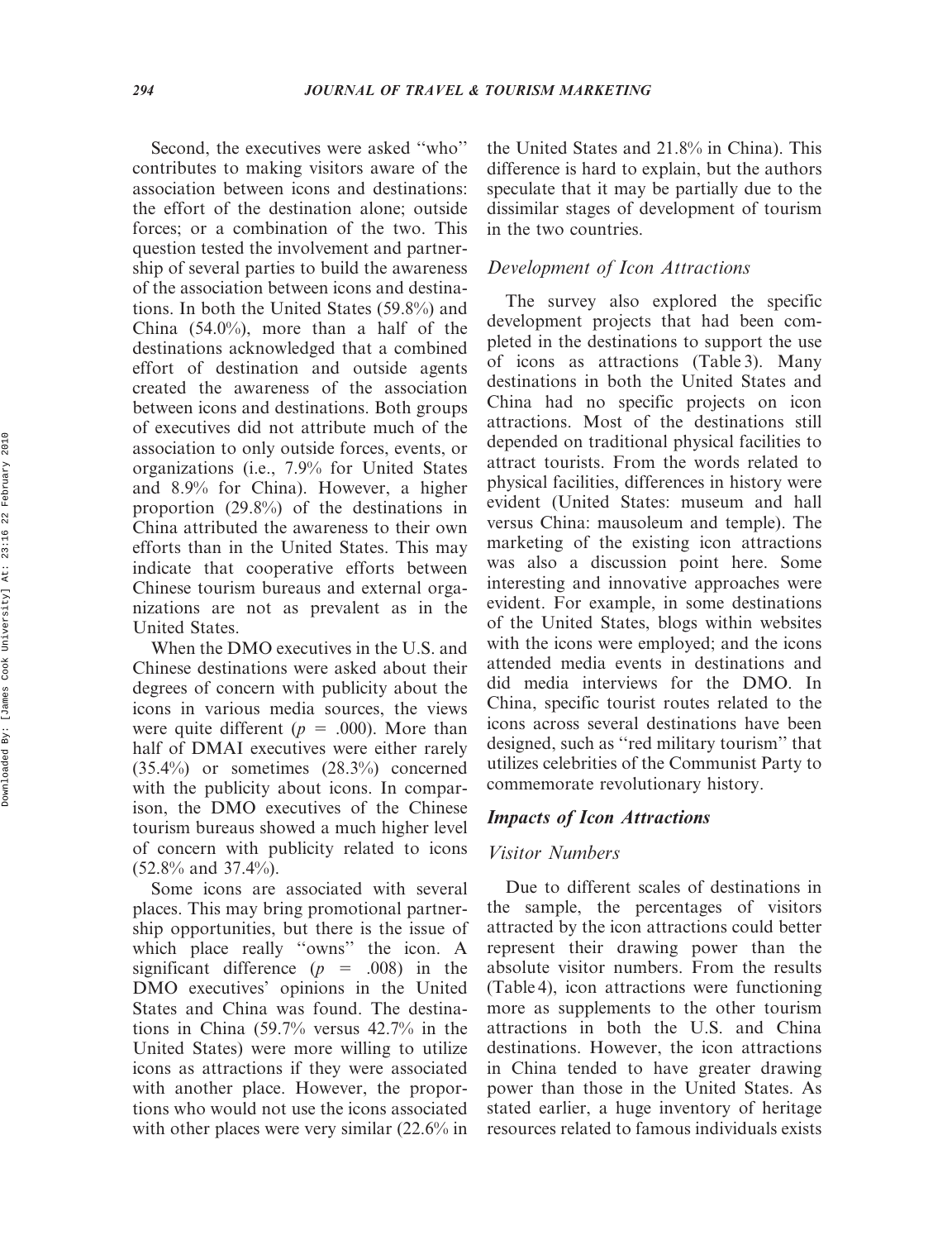Second, the executives were asked ''who'' contributes to making visitors aware of the association between icons and destinations: the effort of the destination alone; outside forces; or a combination of the two. This question tested the involvement and partnership of several parties to build the awareness of the association between icons and destinations. In both the United States (59.8%) and China (54.0%), more than a half of the destinations acknowledged that a combined effort of destination and outside agents created the awareness of the association between icons and destinations. Both groups of executives did not attribute much of the association to only outside forces, events, or organizations (i.e., 7.9% for United States and 8.9% for China). However, a higher proportion (29.8%) of the destinations in China attributed the awareness to their own efforts than in the United States. This may indicate that cooperative efforts between Chinese tourism bureaus and external organizations are not as prevalent as in the United States.

When the DMO executives in the U.S. and Chinese destinations were asked about their degrees of concern with publicity about the icons in various media sources, the views were quite different ( $p = .000$ ). More than half of DMAI executives were either rarely (35.4%) or sometimes (28.3%) concerned with the publicity about icons. In comparison, the DMO executives of the Chinese tourism bureaus showed a much higher level of concern with publicity related to icons (52.8% and 37.4%).

Some icons are associated with several places. This may bring promotional partnership opportunities, but there is the issue of which place really ''owns'' the icon. A significant difference  $(p = .008)$  in the DMO executives' opinions in the United States and China was found. The destinations in China (59.7% versus 42.7% in the United States) were more willing to utilize icons as attractions if they were associated with another place. However, the proportions who would not use the icons associated with other places were very similar  $(22.6\%$  in the United States and 21.8% in China). This difference is hard to explain, but the authors speculate that it may be partially due to the dissimilar stages of development of tourism in the two countries.

#### Development of Icon Attractions

The survey also explored the specific development projects that had been completed in the destinations to support the use of icons as attractions (Table 3). Many destinations in both the United States and China had no specific projects on icon attractions. Most of the destinations still depended on traditional physical facilities to attract tourists. From the words related to physical facilities, differences in history were evident (United States: museum and hall versus China: mausoleum and temple). The marketing of the existing icon attractions was also a discussion point here. Some interesting and innovative approaches were evident. For example, in some destinations of the United States, blogs within websites with the icons were employed; and the icons attended media events in destinations and did media interviews for the DMO. In China, specific tourist routes related to the icons across several destinations have been designed, such as ''red military tourism'' that utilizes celebrities of the Communist Party to commemorate revolutionary history.

#### Impacts of Icon Attractions

#### Visitor Numbers

Due to different scales of destinations in the sample, the percentages of visitors attracted by the icon attractions could better represent their drawing power than the absolute visitor numbers. From the results (Table 4), icon attractions were functioning more as supplements to the other tourism attractions in both the U.S. and China destinations. However, the icon attractions in China tended to have greater drawing power than those in the United States. As stated earlier, a huge inventory of heritage resources related to famous individuals exists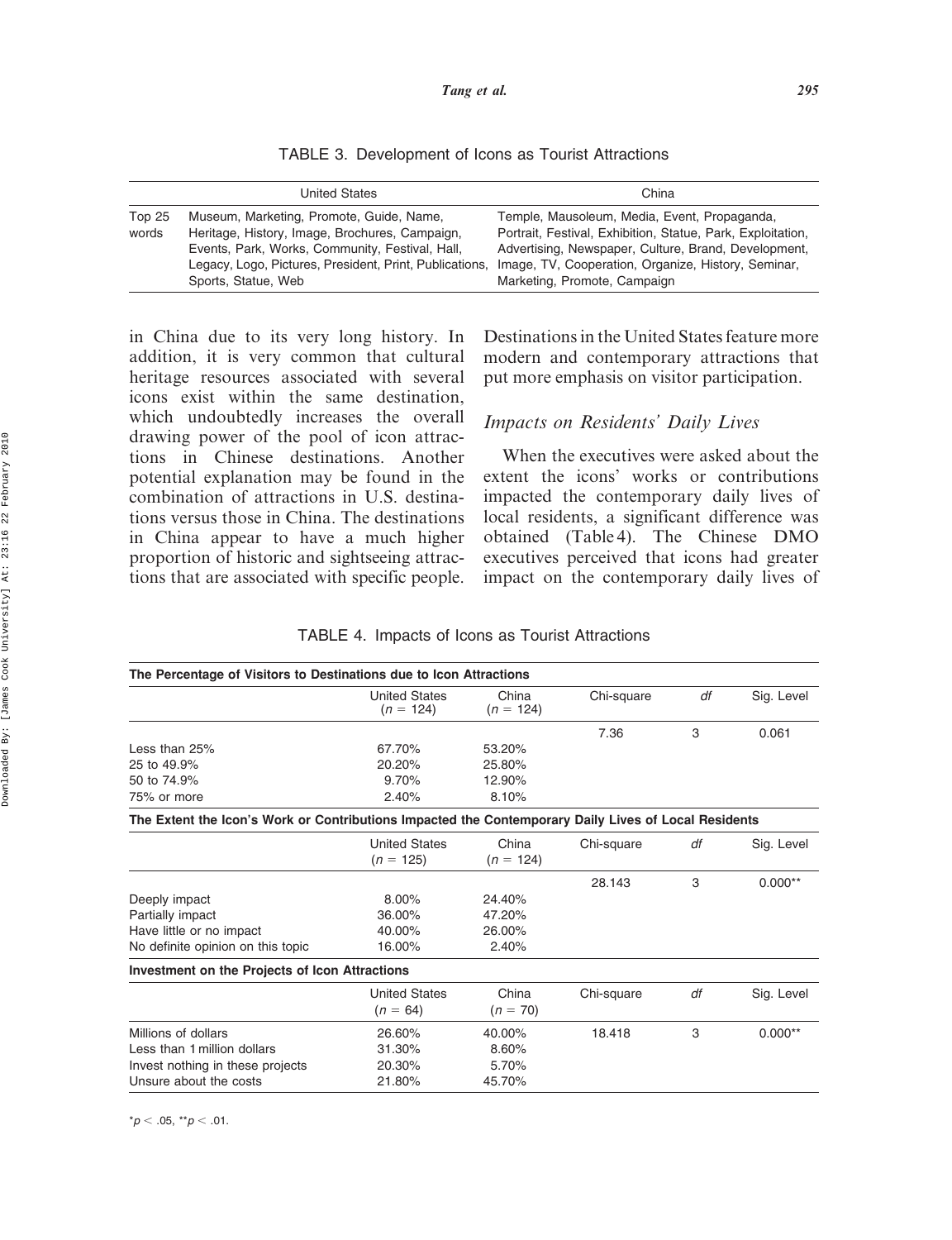TABLE 3. Development of Icons as Tourist Attractions

|                 | <b>United States</b>                                                                                                                                                                                                            | China                                                                                                                                                                                                                                                      |
|-----------------|---------------------------------------------------------------------------------------------------------------------------------------------------------------------------------------------------------------------------------|------------------------------------------------------------------------------------------------------------------------------------------------------------------------------------------------------------------------------------------------------------|
| Top 25<br>words | Museum, Marketing, Promote, Guide, Name,<br>Heritage, History, Image, Brochures, Campaign,<br>Events, Park, Works, Community, Festival, Hall,<br>Legacy, Logo, Pictures, President, Print, Publications,<br>Sports, Statue, Web | Temple, Mausoleum, Media, Event, Propaganda,<br>Portrait, Festival, Exhibition, Statue, Park, Exploitation,<br>Advertising, Newspaper, Culture, Brand, Development,<br>Image, TV, Cooperation, Organize, History, Seminar,<br>Marketing, Promote, Campaign |

in China due to its very long history. In addition, it is very common that cultural heritage resources associated with several icons exist within the same destination, which undoubtedly increases the overall drawing power of the pool of icon attractions in Chinese destinations. Another potential explanation may be found in the combination of attractions in U.S. destinations versus those in China. The destinations in China appear to have a much higher proportion of historic and sightseeing attractions that are associated with specific people. Destinations in the United States feature more modern and contemporary attractions that put more emphasis on visitor participation.

## Impacts on Residents' Daily Lives

When the executives were asked about the extent the icons' works or contributions impacted the contemporary daily lives of local residents, a significant difference was obtained (Table 4). The Chinese DMO executives perceived that icons had greater impact on the contemporary daily lives of

| TABLE 4. Impacts of Icons as Tourist Attractions |  |
|--------------------------------------------------|--|
|--------------------------------------------------|--|

| The Percentage of Visitors to Destinations due to Icon Attractions                                   |                                     |                      |            |    |            |
|------------------------------------------------------------------------------------------------------|-------------------------------------|----------------------|------------|----|------------|
|                                                                                                      | <b>United States</b><br>$(n = 124)$ | China<br>$(n = 124)$ | Chi-square | df | Sig. Level |
|                                                                                                      |                                     |                      | 7.36       | 3  | 0.061      |
| Less than 25%                                                                                        | 67.70%                              | 53.20%               |            |    |            |
| 25 to 49.9%                                                                                          | 20.20%                              | 25.80%               |            |    |            |
| 50 to 74.9%                                                                                          | 9.70%                               | 12.90%               |            |    |            |
| 75% or more                                                                                          | 2.40%                               | 8.10%                |            |    |            |
| The Extent the Icon's Work or Contributions Impacted the Contemporary Daily Lives of Local Residents |                                     |                      |            |    |            |
|                                                                                                      | <b>United States</b><br>$(n = 125)$ | China<br>$(n = 124)$ | Chi-square | df | Sig. Level |
|                                                                                                      |                                     |                      | 28.143     | 3  | $0.000**$  |
| Deeply impact                                                                                        | 8.00%                               | 24.40%               |            |    |            |
| Partially impact                                                                                     | 36.00%                              | 47.20%               |            |    |            |
| Have little or no impact                                                                             | 40.00%                              | 26.00%               |            |    |            |
| No definite opinion on this topic                                                                    | 16.00%                              | 2.40%                |            |    |            |
| <b>Investment on the Projects of Icon Attractions</b>                                                |                                     |                      |            |    |            |
|                                                                                                      | <b>United States</b><br>$(n = 64)$  | China<br>$(n = 70)$  | Chi-square | df | Sig. Level |
| Millions of dollars                                                                                  | 26.60%                              | 40.00%               | 18.418     | 3  | $0.000**$  |
| Less than 1 million dollars                                                                          | 31.30%                              | 8.60%                |            |    |            |
| Invest nothing in these projects                                                                     | 20.30%                              | 5.70%                |            |    |            |
| Unsure about the costs                                                                               | 21.80%                              | 45.70%               |            |    |            |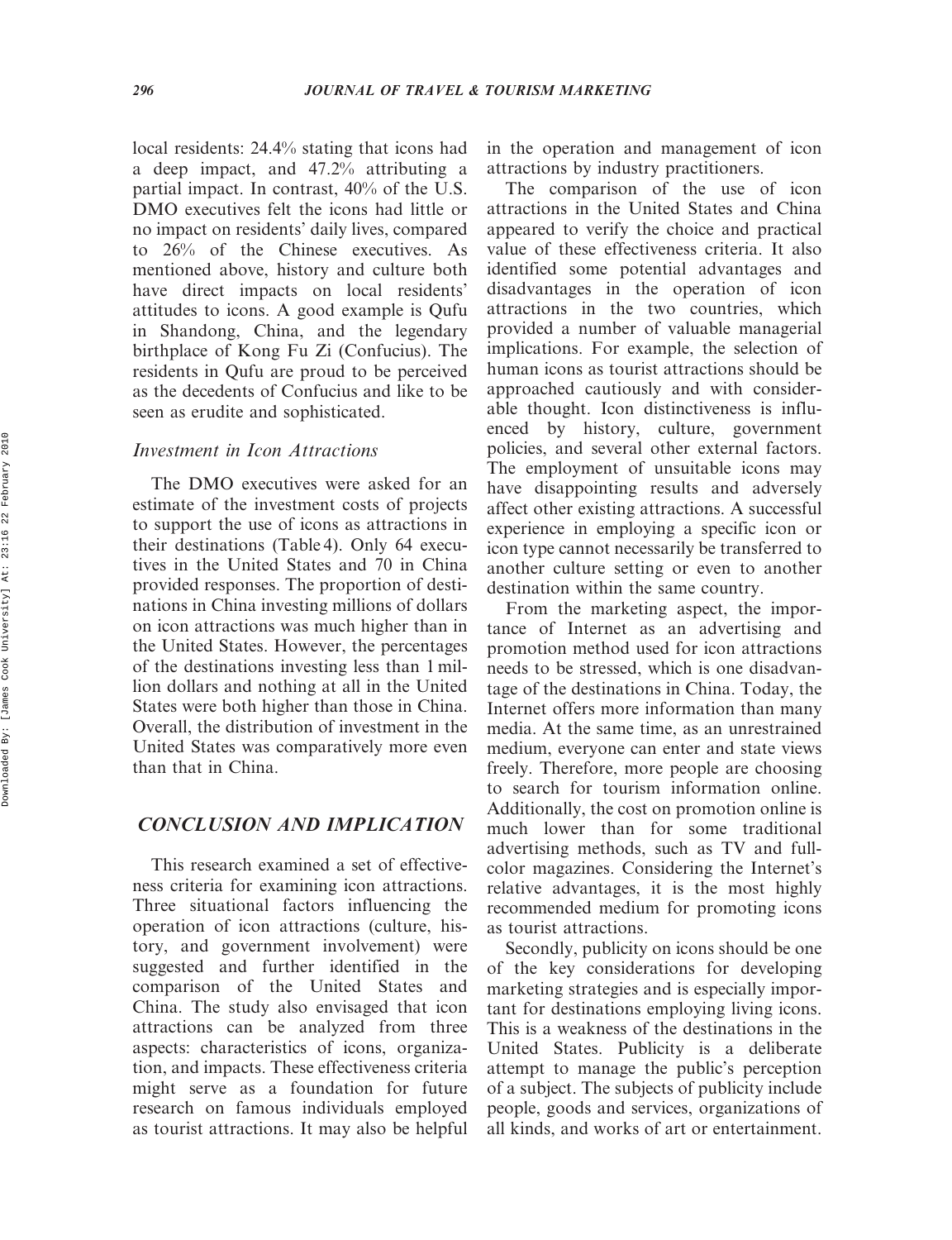local residents: 24.4% stating that icons had a deep impact, and 47.2% attributing a partial impact. In contrast, 40% of the U.S. DMO executives felt the icons had little or no impact on residents' daily lives, compared to 26% of the Chinese executives. As mentioned above, history and culture both have direct impacts on local residents' attitudes to icons. A good example is Qufu in Shandong, China, and the legendary birthplace of Kong Fu Zi (Confucius). The residents in Qufu are proud to be perceived as the decedents of Confucius and like to be seen as erudite and sophisticated.

#### Investment in Icon Attractions

The DMO executives were asked for an estimate of the investment costs of projects to support the use of icons as attractions in their destinations (Table 4). Only 64 executives in the United States and 70 in China provided responses. The proportion of destinations in China investing millions of dollars on icon attractions was much higher than in the United States. However, the percentages of the destinations investing less than 1 million dollars and nothing at all in the United States were both higher than those in China. Overall, the distribution of investment in the United States was comparatively more even than that in China.

## CONCLUSION AND IMPLICATION

This research examined a set of effectiveness criteria for examining icon attractions. Three situational factors influencing the operation of icon attractions (culture, history, and government involvement) were suggested and further identified in the comparison of the United States and China. The study also envisaged that icon attractions can be analyzed from three aspects: characteristics of icons, organization, and impacts. These effectiveness criteria might serve as a foundation for future research on famous individuals employed as tourist attractions. It may also be helpful

in the operation and management of icon attractions by industry practitioners.

The comparison of the use of icon attractions in the United States and China appeared to verify the choice and practical value of these effectiveness criteria. It also identified some potential advantages and disadvantages in the operation of icon attractions in the two countries, which provided a number of valuable managerial implications. For example, the selection of human icons as tourist attractions should be approached cautiously and with considerable thought. Icon distinctiveness is influenced by history, culture, government policies, and several other external factors. The employment of unsuitable icons may have disappointing results and adversely affect other existing attractions. A successful experience in employing a specific icon or icon type cannot necessarily be transferred to another culture setting or even to another destination within the same country.

From the marketing aspect, the importance of Internet as an advertising and promotion method used for icon attractions needs to be stressed, which is one disadvantage of the destinations in China. Today, the Internet offers more information than many media. At the same time, as an unrestrained medium, everyone can enter and state views freely. Therefore, more people are choosing to search for tourism information online. Additionally, the cost on promotion online is much lower than for some traditional advertising methods, such as TV and fullcolor magazines. Considering the Internet's relative advantages, it is the most highly recommended medium for promoting icons as tourist attractions.

Secondly, publicity on icons should be one of the key considerations for developing marketing strategies and is especially important for destinations employing living icons. This is a weakness of the destinations in the United States. Publicity is a deliberate attempt to manage the public's perception of a subject. The subjects of publicity include people, goods and services, organizations of all kinds, and works of art or entertainment.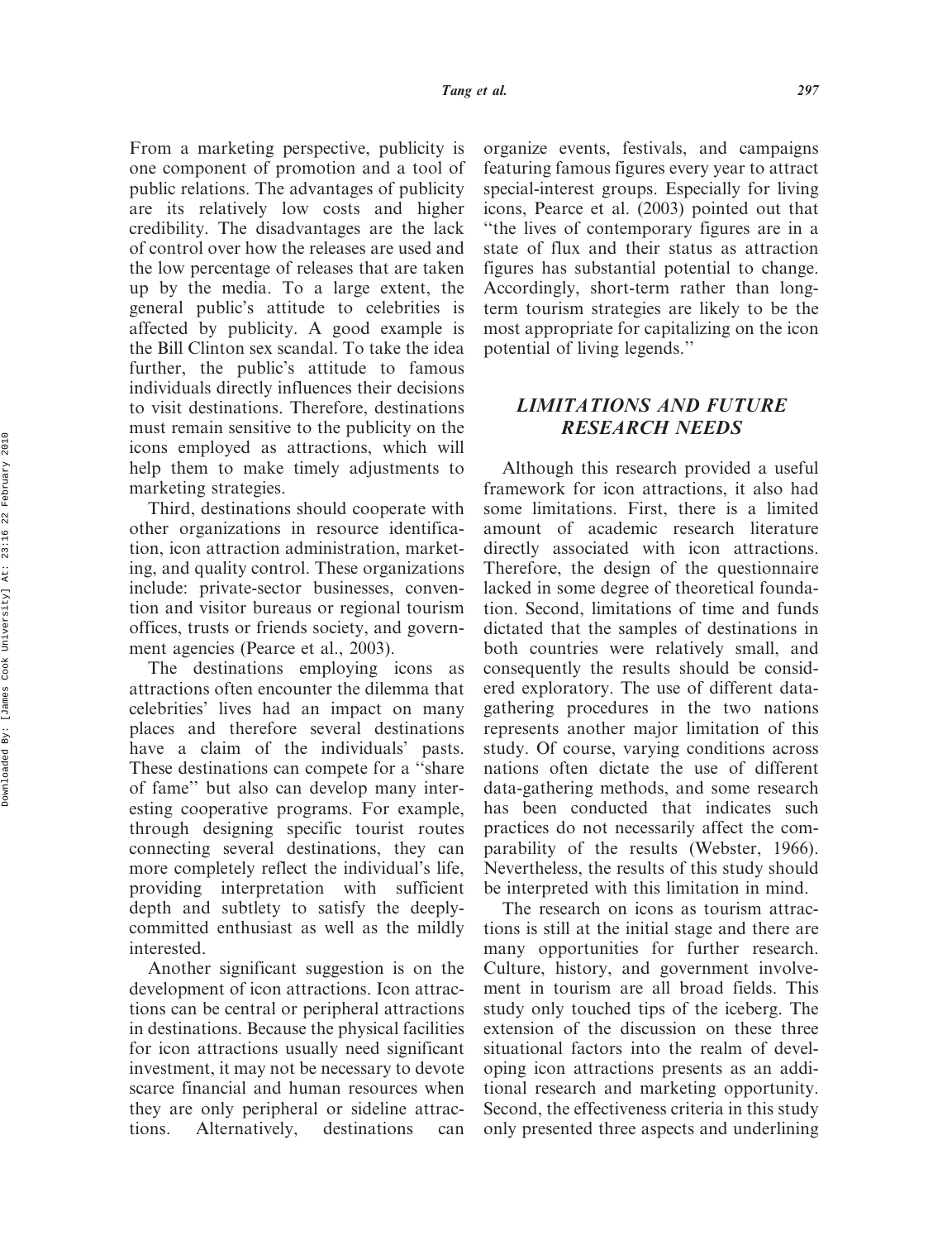From a marketing perspective, publicity is one component of promotion and a tool of public relations. The advantages of publicity are its relatively low costs and higher credibility. The disadvantages are the lack of control over how the releases are used and the low percentage of releases that are taken up by the media. To a large extent, the general public's attitude to celebrities is affected by publicity. A good example is the Bill Clinton sex scandal. To take the idea further, the public's attitude to famous individuals directly influences their decisions to visit destinations. Therefore, destinations must remain sensitive to the publicity on the icons employed as attractions, which will help them to make timely adjustments to marketing strategies.

Third, destinations should cooperate with other organizations in resource identification, icon attraction administration, marketing, and quality control. These organizations include: private-sector businesses, convention and visitor bureaus or regional tourism offices, trusts or friends society, and government agencies (Pearce et al., 2003).

The destinations employing icons as attractions often encounter the dilemma that celebrities' lives had an impact on many places and therefore several destinations have a claim of the individuals' pasts. These destinations can compete for a ''share of fame'' but also can develop many interesting cooperative programs. For example, through designing specific tourist routes connecting several destinations, they can more completely reflect the individual's life, providing interpretation with sufficient depth and subtlety to satisfy the deeplycommitted enthusiast as well as the mildly interested.

Another significant suggestion is on the development of icon attractions. Icon attractions can be central or peripheral attractions in destinations. Because the physical facilities for icon attractions usually need significant investment, it may not be necessary to devote scarce financial and human resources when they are only peripheral or sideline attractions. Alternatively, destinations can

organize events, festivals, and campaigns featuring famous figures every year to attract special-interest groups. Especially for living icons, Pearce et al. (2003) pointed out that ''the lives of contemporary figures are in a state of flux and their status as attraction figures has substantial potential to change. Accordingly, short-term rather than longterm tourism strategies are likely to be the most appropriate for capitalizing on the icon potential of living legends.''

## LIMITATIONS AND FUTURE RESEARCH NEEDS

Although this research provided a useful framework for icon attractions, it also had some limitations. First, there is a limited amount of academic research literature directly associated with icon attractions. Therefore, the design of the questionnaire lacked in some degree of theoretical foundation. Second, limitations of time and funds dictated that the samples of destinations in both countries were relatively small, and consequently the results should be considered exploratory. The use of different datagathering procedures in the two nations represents another major limitation of this study. Of course, varying conditions across nations often dictate the use of different data-gathering methods, and some research has been conducted that indicates such practices do not necessarily affect the comparability of the results (Webster, 1966). Nevertheless, the results of this study should be interpreted with this limitation in mind.

The research on icons as tourism attractions is still at the initial stage and there are many opportunities for further research. Culture, history, and government involvement in tourism are all broad fields. This study only touched tips of the iceberg. The extension of the discussion on these three situational factors into the realm of developing icon attractions presents as an additional research and marketing opportunity. Second, the effectiveness criteria in this study only presented three aspects and underlining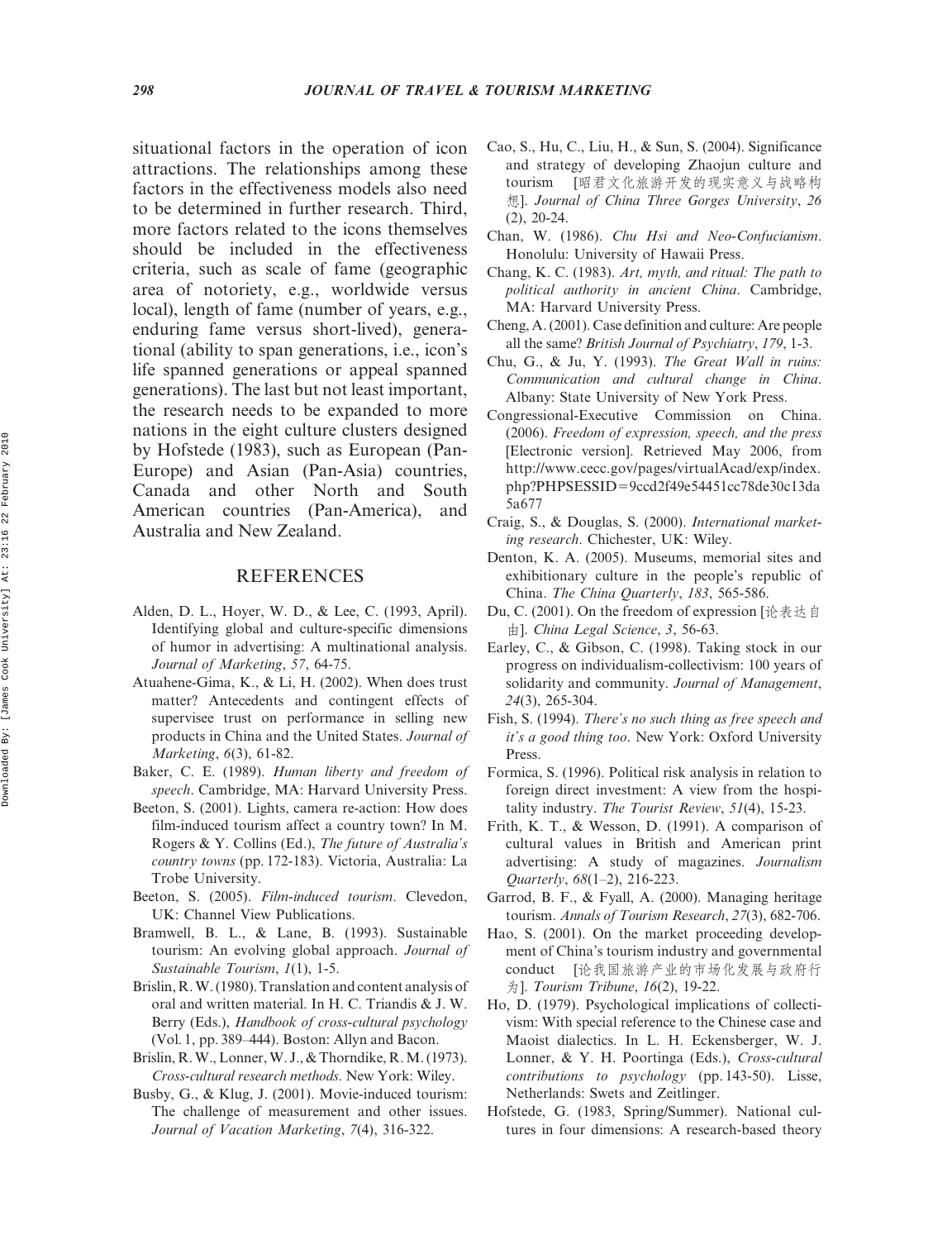situational factors in the operation of icon attractions. The relationships among these factors in the effectiveness models also need to be determined in further research. Third, more factors related to the icons themselves should be included in the effectiveness criteria, such as scale of fame (geographic area of notoriety, e.g., worldwide versus local), length of fame (number of years, e.g., enduring fame versus short-lived), generational (ability to span generations, i.e., icon's life spanned generations or appeal spanned generations). The last but not least important, the research needs to be expanded to more nations in the eight culture clusters designed by Hofstede (1983), such as European (Pan-Europe) and Asian (Pan-Asia) countries, Canada and other North and South American countries (Pan-America), and Australia and New Zealand.

## REFERENCES

- Alden, D. L., Hoyer, W. D., & Lee, C. (1993, April). Identifying global and culture-specific dimensions of humor in advertising: A multinational analysis. Journal of Marketing, 57, 64-75.
- Atuahene-Gima, K., & Li, H. (2002). When does trust matter? Antecedents and contingent effects of supervisee trust on performance in selling new products in China and the United States. Journal of Marketing, 6(3), 61-82.
- Baker, C. E. (1989). Human liberty and freedom of speech. Cambridge, MA: Harvard University Press.
- Beeton, S. (2001). Lights, camera re-action: How does film-induced tourism affect a country town? In M. Rogers & Y. Collins (Ed.), The future of Australia's country towns (pp. 172-183). Victoria, Australia: La Trobe University.
- Beeton, S. (2005). Film-induced tourism. Clevedon, UK: Channel View Publications.
- Bramwell, B. L., & Lane, B. (1993). Sustainable tourism: An evolving global approach. Journal of Sustainable Tourism, 1(1), 1-5.
- Brislin, R.W. (1980). Translation and content analysis of oral and written material. In H. C. Triandis & J. W. Berry (Eds.), Handbook of cross-cultural psychology (Vol. 1, pp. 389–444). Boston: Allyn and Bacon.
- Brislin, R.W., Lonner,W. J., & Thorndike, R.M. (1973). Cross-cultural research methods. New York: Wiley.
- Busby, G., & Klug, J. (2001). Movie-induced tourism: The challenge of measurement and other issues. Journal of Vacation Marketing, 7(4), 316-322.
- Cao, S., Hu, C., Liu, H., & Sun, S. (2004). Significance and strategy of developing Zhaojun culture and tourism [昭君文化旅游开发的现实意义与战略构 想]. Journal of China Three Gorges University, 26 (2), 20-24.
- Chan, W. (1986). Chu Hsi and Neo-Confucianism. Honolulu: University of Hawaii Press.
- Chang, K. C. (1983). Art, myth, and ritual: The path to political authority in ancient China. Cambridge, MA: Harvard University Press.
- Cheng, A. (2001). Case definition and culture: Are people all the same? British Journal of Psychiatry, 179, 1-3.
- Chu, G., & Ju, Y. (1993). The Great Wall in ruins: Communication and cultural change in China. Albany: State University of New York Press.
- Congressional-Executive Commission on China. (2006). Freedom of expression, speech, and the press [Electronic version]. Retrieved May 2006, from http://www.cecc.gov/pages/virtualAcad/exp/index. php?PHPSESSID=9ccd2f49e54451cc78de30c13da 5a677
- Craig, S., & Douglas, S. (2000). International marketing research. Chichester, UK: Wiley.
- Denton, K. A. (2005). Museums, memorial sites and exhibitionary culture in the people's republic of China. The China Quarterly, 183, 565-586.
- Du, C. (2001). On the freedom of expression [论表达自 由]. China Legal Science, 3, 56-63.
- Earley, C., & Gibson, C. (1998). Taking stock in our progress on individualism-collectivism: 100 years of solidarity and community. Journal of Management, 24(3), 265-304.
- Fish, S. (1994). There's no such thing as free speech and it's a good thing too. New York: Oxford University Press.
- Formica, S. (1996). Political risk analysis in relation to foreign direct investment: A view from the hospitality industry. The Tourist Review, 51(4), 15-23.
- Frith, K. T., & Wesson, D. (1991). A comparison of cultural values in British and American print advertising: A study of magazines. Journalism Quarterly, 68(1–2), 216-223.
- Garrod, B. F., & Fyall, A. (2000). Managing heritage tourism. Annals of Tourism Research, 27(3), 682-706.
- Hao, S. (2001). On the market proceeding development of China's tourism industry and governmental conduct [论我国旅游产业的市场化发展与政府行  $\sharp$ ]. Tourism Tribune, 16(2), 19-22.
- Ho, D. (1979). Psychological implications of collectivism: With special reference to the Chinese case and Maoist dialectics. In L. H. Eckensberger, W. J. Lonner, & Y. H. Poortinga (Eds.), Cross-cultural contributions to psychology (pp. 143-50). Lisse, Netherlands: Swets and Zeitlinger.
- Hofstede, G. (1983, Spring/Summer). National cultures in four dimensions: A research-based theory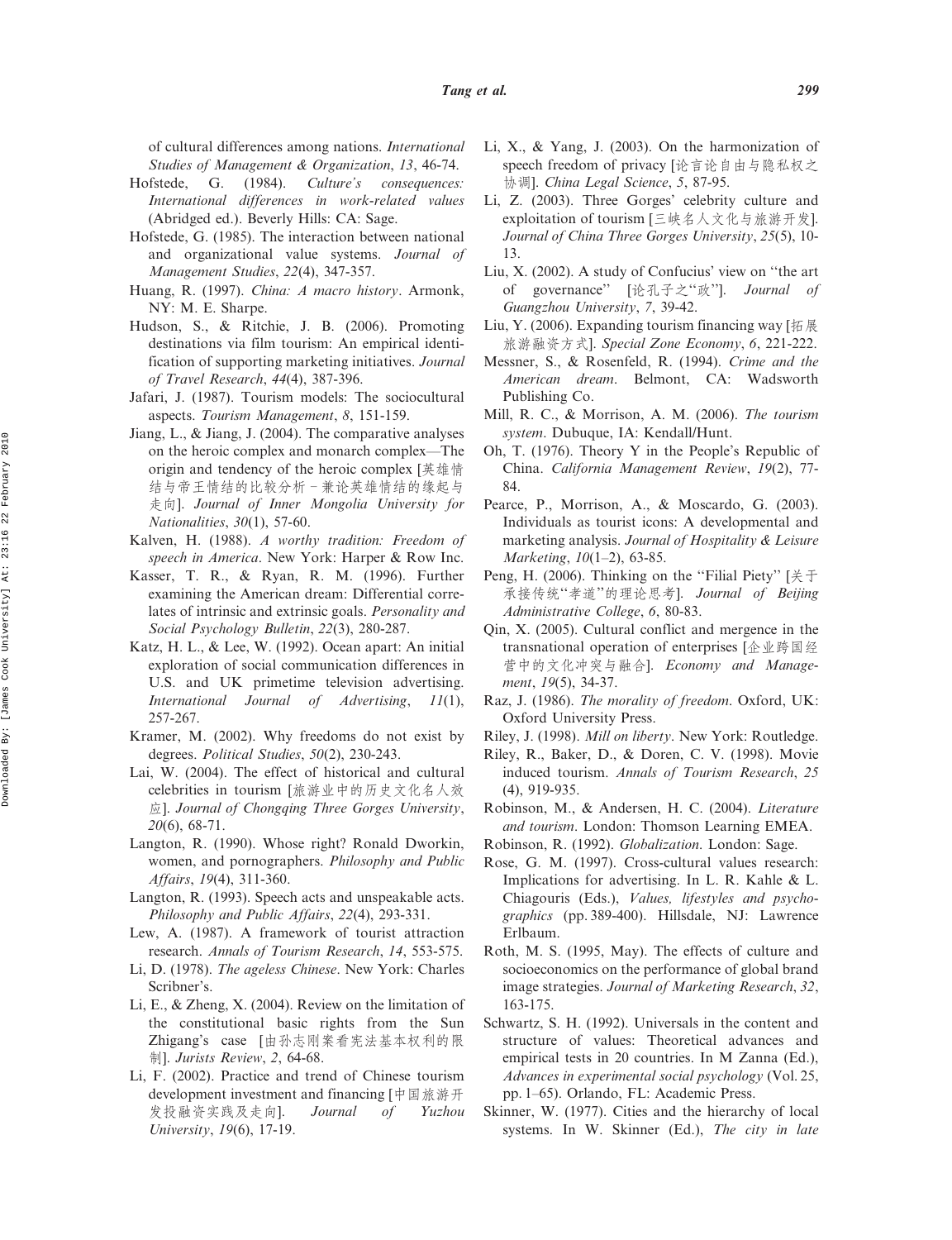of cultural differences among nations. International Studies of Management & Organization, 13, 46-74.

- Hofstede, G. (1984). Culture's consequences: International differences in work-related values (Abridged ed.). Beverly Hills: CA: Sage.
- Hofstede, G. (1985). The interaction between national and organizational value systems. Journal of Management Studies, 22(4), 347-357.
- Huang, R. (1997). China: A macro history. Armonk, NY: M. E. Sharpe.
- Hudson, S., & Ritchie, J. B. (2006). Promoting destinations via film tourism: An empirical identification of supporting marketing initiatives. Journal of Travel Research, 44(4), 387-396.
- Jafari, J. (1987). Tourism models: The sociocultural aspects. Tourism Management, 8, 151-159.
- Jiang, L., & Jiang, J. (2004). The comparative analyses on the heroic complex and monarch complex—The origin and tendency of the heroic complex [英雄情 结与帝王情结的比较分析*–*兼论英雄情结的缘起与 走向]. Journal of Inner Mongolia University for Nationalities, 30(1), 57-60.
- Kalven, H. (1988). A worthy tradition: Freedom of speech in America. New York: Harper & Row Inc.
- Kasser, T. R., & Ryan, R. M. (1996). Further examining the American dream: Differential correlates of intrinsic and extrinsic goals. Personality and Social Psychology Bulletin, 22(3), 280-287.
- Katz, H. L., & Lee, W. (1992). Ocean apart: An initial exploration of social communication differences in U.S. and UK primetime television advertising. International Journal of Advertising, 11(1), 257-267.
- Kramer, M. (2002). Why freedoms do not exist by degrees. Political Studies, 50(2), 230-243.
- Lai, W. (2004). The effect of historical and cultural celebrities in tourism [旅游业中的历史文化名人效 应]. Journal of Chongqing Three Gorges University, 20(6), 68-71.
- Langton, R. (1990). Whose right? Ronald Dworkin, women, and pornographers. Philosophy and Public Affairs, 19(4), 311-360.
- Langton, R. (1993). Speech acts and unspeakable acts. Philosophy and Public Affairs, 22(4), 293-331.
- Lew, A. (1987). A framework of tourist attraction research. Annals of Tourism Research, 14, 553-575.
- Li, D. (1978). The ageless Chinese. New York: Charles Scribner's.
- Li, E., & Zheng, X. (2004). Review on the limitation of the constitutional basic rights from the Sun Zhigang's case [由孙志刚案看宪法基本权利的限 **制]. Jurists Review, 2, 64-68.**
- Li, F. (2002). Practice and trend of Chinese tourism development investment and financing [中国旅游开 发投融资实践及走向]. Journal of Yuzhou University, 19(6), 17-19.
- Li, X., & Yang, J. (2003). On the harmonization of speech freedom of privacy [论言论自由与隐私权之 协调]. China Legal Science, 5, 87-95.
- Li, Z. (2003). Three Gorges' celebrity culture and exploitation of tourism [三峡名人文化与旅游开发]. Journal of China Three Gorges University, 25(5), 10- 13.
- Liu, X. (2002). A study of Confucius' view on ''the art of governance" [论孔子之"政"]. Journal of Guangzhou University, 7, 39-42.
- Liu, Y. (2006). Expanding tourism financing way [拓展 旅游融资方式]. Special Zone Economy, 6, 221-222.
- Messner, S., & Rosenfeld, R. (1994). Crime and the American dream. Belmont, CA: Wadsworth Publishing Co.
- Mill, R. C., & Morrison, A. M. (2006). The tourism system. Dubuque, IA: Kendall/Hunt.
- Oh, T. (1976). Theory Y in the People's Republic of China. California Management Review, 19(2), 77- 84.
- Pearce, P., Morrison, A., & Moscardo, G. (2003). Individuals as tourist icons: A developmental and marketing analysis. Journal of Hospitality & Leisure Marketing, 10(1–2), 63-85.
- Peng, H. (2006). Thinking on the "Filial Piety" [关于 承接传统''孝道''的理论思考]. Journal of Beijing Administrative College, 6, 80-83.
- Qin, X. (2005). Cultural conflict and mergence in the transnational operation of enterprises [企业跨国经 营中的文化冲突与融合]. Economy and Management, 19(5), 34-37.
- Raz, J. (1986). The morality of freedom. Oxford, UK: Oxford University Press.
- Riley, J. (1998). Mill on liberty. New York: Routledge.
- Riley, R., Baker, D., & Doren, C. V. (1998). Movie induced tourism. Annals of Tourism Research, 25 (4), 919-935.
- Robinson, M., & Andersen, H. C. (2004). Literature and tourism. London: Thomson Learning EMEA.
- Robinson, R. (1992). Globalization. London: Sage.
- Rose, G. M. (1997). Cross-cultural values research: Implications for advertising. In L. R. Kahle & L. Chiagouris (Eds.), Values, lifestyles and psychographics (pp. 389-400). Hillsdale, NJ: Lawrence Erlbaum.
- Roth, M. S. (1995, May). The effects of culture and socioeconomics on the performance of global brand image strategies. Journal of Marketing Research, 32, 163-175.
- Schwartz, S. H. (1992). Universals in the content and structure of values: Theoretical advances and empirical tests in 20 countries. In M Zanna (Ed.), Advances in experimental social psychology (Vol. 25, pp. 1–65). Orlando, FL: Academic Press.
- Skinner, W. (1977). Cities and the hierarchy of local systems. In W. Skinner (Ed.), The city in late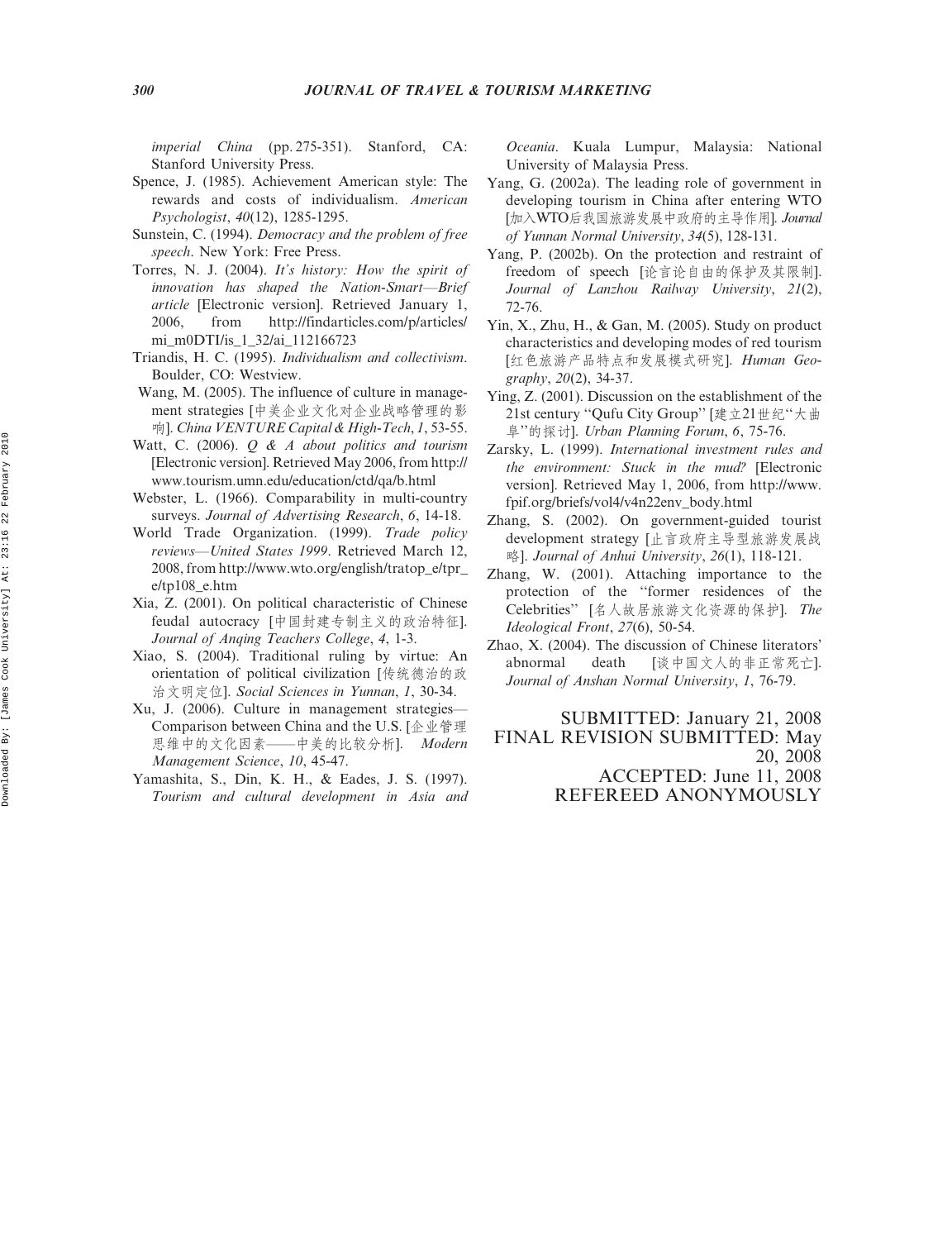imperial China (pp. 275-351). Stanford, CA: Stanford University Press.

- Spence, J. (1985). Achievement American style: The rewards and costs of individualism. American Psychologist, 40(12), 1285-1295.
- Sunstein, C. (1994). Democracy and the problem of free speech. New York: Free Press.
- Torres, N. J. (2004). It's history: How the spirit of innovation has shaped the Nation-Smart—Brief article [Electronic version]. Retrieved January 1, 2006, from http://findarticles.com/p/articles/ mi\_m0DTI/is\_1\_32/ai\_112166723
- Triandis, H. C. (1995). Individualism and collectivism. Boulder, CO: Westview.
- Wang, M. (2005). The influence of culture in management strategies [中美企业文化对企业战略管理的影 响]. China VENTURE Capital & High-Tech, 1, 53-55.
- Watt, C. (2006).  $Q \& A$  about politics and tourism [Electronic version]. Retrieved May 2006, from http:// www.tourism.umn.edu/education/ctd/qa/b.html
- Webster, L. (1966). Comparability in multi-country surveys. Journal of Advertising Research, 6, 14-18.
- World Trade Organization. (1999). Trade policy reviews—United States 1999. Retrieved March 12, 2008, from http://www.wto.org/english/tratop\_e/tpr\_ e/tp108\_e.htm
- Xia, Z. (2001). On political characteristic of Chinese feudal autocracy [中国封建专制主义的政治特征]. Journal of Anqing Teachers College, 4, 1-3.
- Xiao, S. (2004). Traditional ruling by virtue: An orientation of political civilization [传统德治的政 治文明定位]. Social Sciences in Yunnan, 1, 30-34.
- Xu, J. (2006). Culture in management strategies— Comparison between China and the U.S. [企业管理 思维中的文化因素——中美的比较分析]. Modern Management Science, 10, 45-47.
- Yamashita, S., Din, K. H., & Eades, J. S. (1997). Tourism and cultural development in Asia and

Oceania. Kuala Lumpur, Malaysia: National University of Malaysia Press.

- Yang, G. (2002a). The leading role of government in developing tourism in China after entering WTO [加入WTO后我国旅游发展中政府的主导作用]. Journal of Yunnan Normal University, 34(5), 128-131.
- Yang, P. (2002b). On the protection and restraint of freedom of speech [论言论自由的保护及其限制]. Journal of Lanzhou Railway University, 21(2), 72-76.
- Yin, X., Zhu, H., & Gan, M. (2005). Study on product characteristics and developing modes of red tourism [红色旅游产品特点和发展模式研究]. Human Geography, 20(2), 34-37.
- Ying, Z. (2001). Discussion on the establishment of the 21st century ''Qufu City Group'' [建立21世纪''大曲 阜''的探讨]. Urban Planning Forum, 6, 75-76.
- Zarsky, L. (1999). International investment rules and the environment: Stuck in the mud? [Electronic version]. Retrieved May 1, 2006, from http://www. fpif.org/briefs/vol4/v4n22env\_body.html
- Zhang, S. (2002). On government-guided tourist development strategy [止言政府主导型旅游发展战 略]. Journal of Anhui University,  $26(1)$ , 118-121.
- Zhang, W. (2001). Attaching importance to the protection of the ''former residences of the Celebrities'' [名人故居旅游文化资源的保护]. The Ideological Front, 27(6), 50-54.
- Zhao, X. (2004). The discussion of Chinese literators' abnormal death [谈中国文人的非正常死亡]. Journal of Anshan Normal University, 1, 76-79.

SUBMITTED: January 21, 2008 FINAL REVISION SUBMITTED: May 20, 2008 ACCEPTED: June 11, 2008 REFEREED ANONYMOUSLY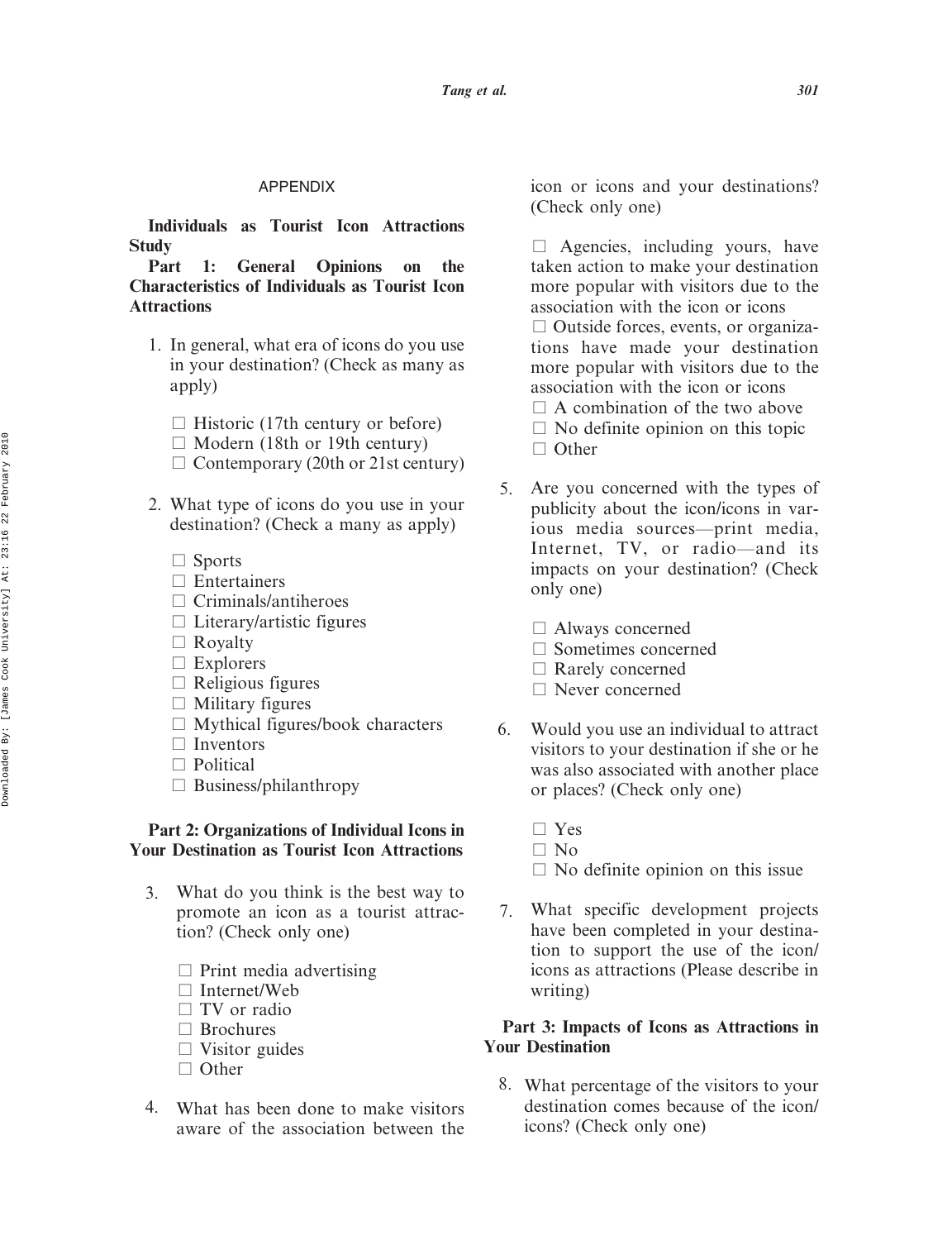#### APPENDIX

Individuals as Tourist Icon Attractions **Study** 

Part 1: General Opinions on the Characteristics of Individuals as Tourist Icon **Attractions** 

- 1. In general, what era of icons do you use in your destination? (Check as many as apply)
	- $\Box$  Historic (17th century or before)
	- $\Box$  Modern (18th or 19th century)
	- $\Box$  Contemporary (20th or 21st century)
- 2. What type of icons do you use in your destination? (Check a many as apply)
	- $\Box$  Sports
	- $\Box$  Entertainers
	- $\Box$  Criminals/antiheroes
	- $\Box$  Literary/artistic figures
	- $\Box$  Royalty
	- $\Box$  Explorers
	- $\Box$  Religious figures
	- $\Box$  Military figures
	- $\square$  Mythical figures/book characters
	- $\Box$  Inventors
	- $\Box$  Political
	- $\square$  Business/philanthropy

#### Part 2: Organizations of Individual Icons in Your Destination as Tourist Icon Attractions

- 1. What do you think is the best way to 3. promote an icon as a tourist attraction? (Check only one)
	- $\Box$  Print media advertising
	- $\Box$  Internet/Web
	- $\Box$  TV or radio
	- $\Box$  Brochures
	- $\Box$  Visitor guides
	- $\Box$  Other
- 2. What has been done to make visitors 4. aware of the association between the

icon or icons and your destinations? (Check only one)

 $\Box$  Agencies, including yours, have taken action to make your destination more popular with visitors due to the association with the icon or icons  $\Box$  Outside forces, events, or organizations have made your destination more popular with visitors due to the association with the icon or icons  $\Box$  A combination of the two above  $\Box$  No definite opinion on this topic  $\Box$  Other

- 3. Are you concerned with the types of 5. publicity about the icon/icons in various media sources—print media, Internet, TV, or radio—and its impacts on your destination? (Check only one)
	- $\Box$  Always concerned
	- $\square$  Sometimes concerned
	- $\Box$  Rarely concerned
	- $\Box$  Never concerned
- 4. Would you use an individual to attract visitors to your destination if she or he was also associated with another place or places? (Check only one) 6.
	- $\Box$  Yes
	- $\Box$  No
	- $\Box$  No definite opinion on this issue
- What specific development projects have been completed in your destination to support the use of the icon/ icons as attractions (Please describe in writing) 7.

#### Part 3: Impacts of Icons as Attractions in Your Destination

8. What percentage of the visitors to your destination comes because of the icon/ icons? (Check only one)